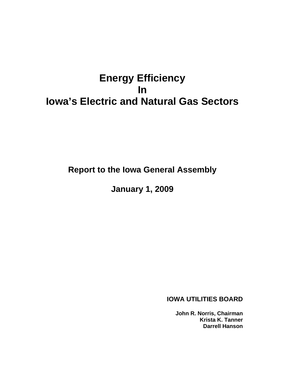# **Energy Efficiency In Iowa's Electric and Natural Gas Sectors**

**Report to the Iowa General Assembly** 

**January 1, 2009** 

**IOWA UTILITIES BOARD** 

**John R. Norris, Chairman Krista K. Tanner Darrell Hanson**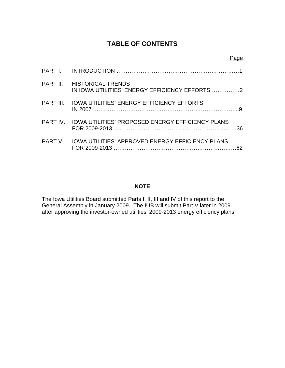# **TABLE OF CONTENTS**

| PART II. HISTORICAL TRENDS                                |     |
|-----------------------------------------------------------|-----|
| PART III. IOWA UTILITIES' ENERGY EFFICIENCY EFFORTS       |     |
| PART IV. IOWA UTILITIES' PROPOSED ENERGY EFFICIENCY PLANS | 36. |
| PART V. IOWA UTILITIES' APPROVED ENERGY EFFICIENCY PLANS  | 62  |

# **NOTE**

The Iowa Utilities Board submitted Parts I, II, III and IV of this report to the General Assembly in January 2009. The IUB will submit Part V later in 2009 after approving the investor-owned utilities' 2009-2013 energy efficiency plans.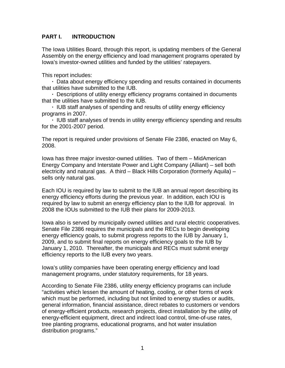# **PART I. INTRODUCTION**

The Iowa Utilities Board, through this report, is updating members of the General Assembly on the energy efficiency and load management programs operated by Iowa's investor-owned utilities and funded by the utilities' ratepayers.

This report includes:

 **·** Data about energy efficiency spending and results contained in documents that utilities have submitted to the IUB.

 **·** Descriptions of utility energy efficiency programs contained in documents that the utilities have submitted to the IUB.

**·** IUB staff analyses of spending and results of utility energy efficiency programs in 2007.

**·** IUB staff analyses of trends in utility energy efficiency spending and results for the 2001-2007 period.

The report is required under provisions of Senate File 2386, enacted on May 6, 2008.

Iowa has three major investor-owned utilities. Two of them – MidAmerican Energy Company and Interstate Power and Light Company (Alliant) – sell both electricity and natural gas. A third – Black Hills Corporation (formerly Aquila) – sells only natural gas.

Each IOU is required by law to submit to the IUB an annual report describing its energy efficiency efforts during the previous year. In addition, each IOU is required by law to submit an energy efficiency plan to the IUB for approval. In 2008 the IOUs submitted to the IUB their plans for 2009-2013.

Iowa also is served by municipally owned utilities and rural electric cooperatives. Senate File 2386 requires the municipals and the RECs to begin developing energy efficiency goals, to submit progress reports to the IUB by January 1, 2009, and to submit final reports on energy efficiency goals to the IUB by January 1, 2010. Thereafter, the municipals and RECs must submit energy efficiency reports to the IUB every two years.

Iowa's utility companies have been operating energy efficiency and load management programs, under statutory requirements, for 18 years.

According to Senate File 2386, utility energy efficiency programs can include "activities which lessen the amount of heating, cooling, or other forms of work which must be performed, including but not limited to energy studies or audits, general information, financial assistance, direct rebates to customers or vendors of energy-efficient products, research projects, direct installation by the utility of energy-efficient equipment, direct and indirect load control, time-of-use rates, tree planting programs, educational programs, and hot water insulation distribution programs."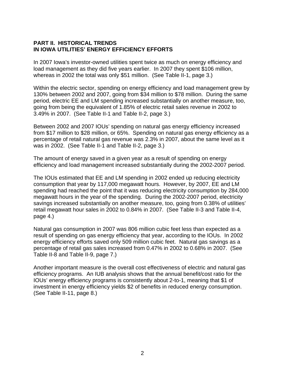# **PART II. HISTORICAL TRENDS IN IOWA UTILITIES' ENERGY EFFICIENCY EFFORTS**

In 2007 Iowa's investor-owned utilities spent twice as much on energy efficiency and load management as they did five years earlier. In 2007 they spent \$106 million, whereas in 2002 the total was only \$51 million. (See Table II-1, page 3.)

Within the electric sector, spending on energy efficiency and load management grew by 130% between 2002 and 2007, going from \$34 million to \$78 million. During the same period, electric EE and LM spending increased substantially on another measure, too, going from being the equivalent of 1.85% of electric retail sales revenue in 2002 to 3.49% in 2007. (See Table II-1 and Table II-2, page 3.)

Between 2002 and 2007 IOUs' spending on natural gas energy efficiency increased from \$17 million to \$28 million, or 65%. Spending on natural gas energy efficiency as a percentage of retail natural gas revenue was 2.3% in 2007, about the same level as it was in 2002. (See Table II-1 and Table II-2, page 3.)

The amount of energy saved in a given year as a result of spending on energy efficiency and load management increased substantially during the 2002-2007 period.

The IOUs estimated that EE and LM spending in 2002 ended up reducing electricity consumption that year by 117,000 megawatt hours. However, by 2007, EE and LM spending had reached the point that it was reducing electricity consumption by 284,000 megawatt hours in the year of the spending. During the 2002-2007 period, electricity savings increased substantially on another measure, too, going from 0.38% of utilities' retail megawatt hour sales in 2002 to 0.84% in 2007. (See Table II-3 and Table II-4, page 4.)

Natural gas consumption in 2007 was 806 million cubic feet less than expected as a result of spending on gas energy efficiency that year, according to the IOUs. In 2002 energy efficiency efforts saved only 509 million cubic feet. Natural gas savings as a percentage of retail gas sales increased from 0.47% in 2002 to 0.68% in 2007. (See Table II-8 and Table II-9, page 7.)

Another important measure is the overall cost effectiveness of electric and natural gas efficiency programs. An IUB analysis shows that the annual benefit/cost ratio for the IOUs' energy efficiency programs is consistently about 2-to-1, meaning that \$1 of investment in energy efficiency yields \$2 of benefits in reduced energy consumption. (See Table II-11, page 8.)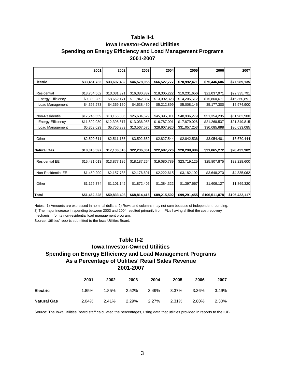# **Table II-1 Iowa Investor-Owned Utilities Spending on Energy Efficiency and Load Management Programs 2001-2007**

|                          | 2001         | 2002         | 2003         | 2004         | 2005         | 2006          | 2007          |
|--------------------------|--------------|--------------|--------------|--------------|--------------|---------------|---------------|
|                          |              |              |              |              |              |               |               |
| <b>Electric</b>          | \$33,451,732 | \$33,697,482 | \$46,578,055 | \$66,527,777 | \$70,992,471 | \$75,446,606  | \$77,989,135  |
|                          |              |              |              |              |              |               |               |
| Residential              | \$13,704,562 | \$13,031,321 | \$16,380,837 | \$18,305,222 | \$19,231,656 | \$21,037,971  | \$22,335,791  |
| <b>Energy Efficiency</b> | \$9,309,289  | \$8,662,171  | \$11,842,387 | \$13,092,323 | \$14,205,512 | \$15,860,671  | \$16,360,891  |
| Load Management          | \$4,395,273  | \$4,369,150  | \$4,538,450  | \$5,212,899  | \$5,008,145  | \$5,177,300   | \$5,974,900   |
|                          |              |              |              |              |              |               |               |
| Non-Residential          | \$17,246,559 | \$18,155,006 | \$26,604,529 | \$45,395,011 | \$48,936,279 | \$51,354,235  | \$51,982,900  |
| <b>Energy Efficiency</b> | \$11,892,930 | \$12,398,617 | \$13,036,953 | \$16,787,091 | \$17,879,026 | \$21,268,537  | \$21,349,815  |
| Load Management          | \$5,353,629  | \$5,756,389  | \$13,567,576 | \$28,607,920 | \$31,057,253 | \$30,085,698  | \$30,633,085  |
|                          |              |              |              |              |              |               |               |
| Other                    | \$2,500,611  | \$2,511,155  | \$3,592,689  | \$2,827,544  | \$2,842,536  | \$3,054,401   | \$3,670,444   |
|                          |              |              |              |              |              |               |               |
| <b>Natural Gas</b>       | \$18,010,597 | \$17,136,016 | \$22,236,361 | \$22,687,726 | \$28,298,984 | \$31,065,272  | \$28,432,982  |
|                          |              |              |              |              |              |               |               |
| <b>Residential EE</b>    | \$15,431,013 | \$13,877,136 | \$18,187,264 | \$19,080,789 | \$23,719,125 | \$25,807,875  | \$22,228,600  |
|                          |              |              |              |              |              |               |               |
| Non-Residential EE       | \$1,450,209  | \$2,157,738  | \$2,176,691  | \$2,222,615  | \$3,182,192  | \$3,648,270   | \$4,335,062   |
|                          |              |              |              |              |              |               |               |
| Other                    | \$1,129,374  | \$1,101,142  | \$1,872,406  | \$1,384,322  | \$1,397,667  | \$1,609,127   | \$1,869,320   |
|                          |              |              |              |              |              |               |               |
| <b>Total</b>             | \$51,462,328 | \$50,833,498 | \$68,814,416 | \$89,215,502 | \$99,291,455 | \$106,511,878 | \$106,422,117 |

Notes: 1) Amounts are expressed in nominal dollars; 2) Rows and columns may not sum because of independent rounding; 3) The major increase in spending between 2003 and 2004 resulted primarily from IPL's having shifted the cost recovery mechanism for its non-residential load management program.

Source: Utilities' reports submitted to the Iowa Utilities Board.

#### **Table II-2**

# **Iowa Investor-Owned Utilities Spending on Energy Efficiency and Load Management Programs 2001-2007 As a Percentage of Utilities' Retail Sales Revenue**

|                    | 2001  | 2002  | 2003  | 2004  | 2005  | 2006  | 2007  |
|--------------------|-------|-------|-------|-------|-------|-------|-------|
| <b>Electric</b>    | 1.85% | 1.85% | 2.52% | 3.49% | 3.37% | 3.36% | 3.49% |
| <b>Natural Gas</b> | 2.04% | 2.41% | 2.29% | 2.27% | 2.31% | 2.80% | 2.30% |

Source: The Iowa Utilities Board staff calculated the percentages, using data that utilities provided in reports to the IUB.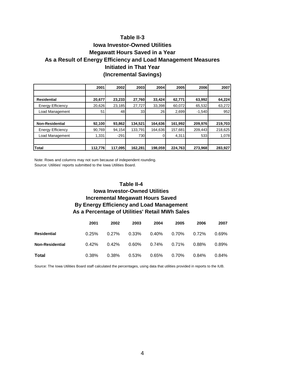# **Table II-3 Iowa Investor-Owned Utilities Megawatt Hours Saved in a Year As a Result of Energy Efficiency and Load Management Measures**

# **Initiated in That Year**

# **(Incremental Savings)**

|                          | 2001    | 2002    | 2003    | 2004    | 2005    | 2006     | 2007    |
|--------------------------|---------|---------|---------|---------|---------|----------|---------|
|                          |         |         |         |         |         |          |         |
| <b>Residential</b>       | 20,677  | 23,233  | 27,760  | 33,424  | 62,771  | 63,992   | 64,224  |
| <b>Energy Efficiency</b> | 20,626  | 23,185  | 27,727  | 33,398  | 60,072  | 65,532   | 63,272  |
| Load Management          | 51      | 48      | 33      | 26      | 2,699   | $-1,540$ | 952     |
|                          |         |         |         |         |         |          |         |
| <b>Non-Residential</b>   | 92,100  | 93,862  | 134,521 | 164,636 | 161,992 | 209,976  | 219,703 |
| <b>Energy Efficiency</b> | 90,769  | 94,154  | 133,791 | 164,636 | 157,681 | 209,443  | 218,625 |
| Load Management          | 1,331   | $-291$  | 730     |         | 4,311   | 533      | 1,078   |
|                          |         |         |         |         |         |          |         |
| <b>Total</b>             | 112,776 | 117.095 | 162.281 | 198,059 | 224.763 | 273,968  | 283,927 |

Note: Rows and columns may not sum because of independent rounding. Source: Utilities' reports submitted to the Iowa Utilities Board.

# **As a Percentage of Utilities' Retail MWh Sales By Energy Efficiency and Load Management Table II-4 Iowa Investor-Owned Utilities Incremental Megawatt Hours Saved**

|                        | 2001     | 2002     | 2003  | 2004  | 2005  | 2006     | 2007  |
|------------------------|----------|----------|-------|-------|-------|----------|-------|
| Residential            | 0.25%    | $0.27\%$ | 0.33% | 0.40% | 0.70% | $0.72\%$ | 0.69% |
| <b>Non-Residential</b> | $0.42\%$ | 0.42%    | 0.60% | 0.74% | 0.71% | $0.88\%$ | 0.89% |
| Total                  | 0.38%    | 0.38%    | 0.53% | 0.65% | 0.70% | $0.84\%$ | 0.84% |

Source: The Iowa Utilities Board staff calculated the percentages, using data that utilities provided in reports to the IUB.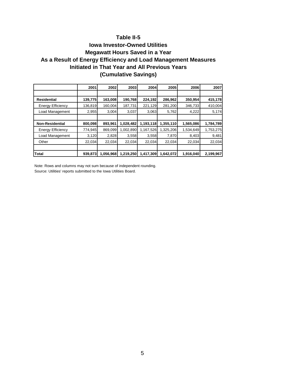# **Table II-5**

# **(Cumulative Savings) Initiated in That Year and All Previous Years Iowa Investor-Owned Utilities Megawatt Hours Saved in a Year As a Result of Energy Efficiency and Load Management Measures**

|                          | 2001    | 2002      | 2003      | 2004      | 2005      | 2006      | 2007      |
|--------------------------|---------|-----------|-----------|-----------|-----------|-----------|-----------|
|                          |         |           |           |           |           |           |           |
| <b>Residential</b>       | 139,775 | 163,008   | 190,768   | 224,192   | 286,962   | 350,954   | 415,178   |
| <b>Energy Efficiency</b> | 136,819 | 160,004   | 187,731   | 221,129   | 281,200   | 346,733   | 410,004   |
| Load Management          | 2,955   | 3,004     | 3,037     | 3,063     | 5,762     | 4,222     | 5,174     |
|                          |         |           |           |           |           |           |           |
| <b>Non-Residential</b>   | 800,098 | 893,961   | 1,028,482 | 1,193,118 | 1,355,110 | 1,565,086 | 1,784,789 |
| <b>Energy Efficiency</b> | 774,945 | 869,099   | 1,002,890 | 1,167,526 | 1,325,206 | 1,534,649 | 1,753,275 |
| Load Management          | 3,120   | 2,828     | 3,558     | 3,558     | 7,870     | 8,403     | 9,481     |
| Other                    | 22,034  | 22,034    | 22,034    | 22,034    | 22,034    | 22,034    | 22,034    |
|                          |         |           |           |           |           |           |           |
| Total                    | 939,873 | 1,056,968 | 1,219,250 | 1,417,309 | 1,642,072 | 1,916,040 | 2,199,967 |

Note: Rows and columns may not sum because of independent rounding. Source: Utilities' reports submitted to the Iowa Utilities Board.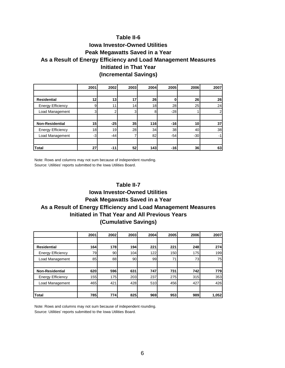# **(Incremental Savings) Initiated in That Year Table II-6 Iowa Investor-Owned Utilities Peak Megawatts Saved in a Year As a Result of Energy Efficiency and Load Management Measures**

|                          | 2001 | 2002  | 2003            | 2004       | 2005  | 2006  | 2007           |
|--------------------------|------|-------|-----------------|------------|-------|-------|----------------|
|                          |      |       |                 |            |       |       |                |
| <b>Residential</b>       | 12   | 13    | 17              | 26         |       | 26    | 26             |
| <b>Energy Efficiency</b> | 9    | 11    | 14              | 18         | 28    | 25    | 24             |
| Load Management          | 3    | っ     | 3               | 8          | $-28$ |       | $\overline{2}$ |
|                          |      |       |                 |            |       |       |                |
| <b>Non-Residential</b>   | 15   | $-25$ | 35              | <b>116</b> | $-16$ | 10    | 37             |
| <b>Energy Efficiency</b> | 18   | 19    | 28              | 34         | 38    | 40    | 38             |
| Load Management          | -31  | -44   |                 | 82         | $-54$ | $-30$ | $-1$           |
|                          |      |       |                 |            |       |       |                |
| <b>Total</b>             | 27   | $-11$ | 52 <sub>l</sub> | 143        | $-16$ | 36    | 63             |

Note: Rows and columns may not sum because of independent rounding. Source: Utilities' reports submitted to the Iowa Utilities Board.

# **(Cumulative Savings) Initiated in That Year and All Previous Years Table II-7 Iowa Investor-Owned Utilities Peak Megawatts Saved in a Year As a Result of Energy Efficiency and Load Management Measures**

|                          | 2001 | 2002 | 2003            | 2004 | 2005 | 2006 | 2007       |
|--------------------------|------|------|-----------------|------|------|------|------------|
|                          |      |      |                 |      |      |      |            |
| <b>Residential</b>       | 164  | 178  | 194             | 221  | 221  | 248  | <b>274</b> |
| <b>Energy Efficiency</b> | 79   | 90   | 104             | 122  | 150  | 175  | 199        |
| Load Management          | 85   | 88   | 90 <sub>l</sub> | 99   | 71   | 73   | 75         |
|                          |      |      |                 |      |      |      |            |
| <b>Non-Residential</b>   | 620  | 596  | 631             | 747  | 731  | 742  | 779        |
| <b>Energy Efficiency</b> | 155  | 175  | 203             | 237  | 275  | 315  | 353        |
| Load Management          | 465  | 421  | 428             | 510  | 456  | 427  | 426        |
|                          |      |      |                 |      |      |      |            |
| <b>Total</b>             | 785  | 774  | 825             | 969  | 953  | 989  | 1,052      |

Note: Rows and columns may not sum because of independent rounding. Source: Utilities' reports submitted to the Iowa Utilities Board.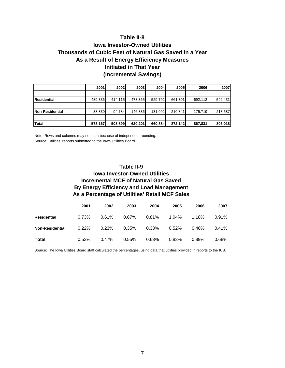# **(Incremental Savings) Initiated in That Year Table II-8 Iowa Investor-Owned Utilities Thousands of Cubic Feet of Natural Gas Saved in a Year As a Result of Energy Efficiency Measures**

|                        | 2001    | 2002    | 2003    | <b>2004</b> | 2005I   | 2006    | 2007    |
|------------------------|---------|---------|---------|-------------|---------|---------|---------|
|                        |         |         |         |             |         |         |         |
| Residential            | 489,336 | 414.115 | 473.365 | 529,792     | 661.301 | 692.112 | 592,431 |
|                        |         |         |         |             |         |         |         |
| <b>Non-Residential</b> | 88,830  | 94.784  | 146.836 | 131,092     | 210.841 | 175.719 | 213,587 |
|                        |         |         |         |             |         |         |         |
| <b>Total</b>           | 578,167 | 508,899 | 620,201 | 660,884     | 872,142 | 867,831 | 806,018 |

Note: Rows and columns may not sum because of independent rounding. Source: Utilities' reports submitted to the Iowa Utilities Board.

# **As a Percentage of Utilities' Retail MCF Sales Table II-9 Iowa Investor-Owned Utilities Incremental MCF of Natural Gas Saved By Energy Efficiency and Load Management**

|                        | 2001     | 2002     | 2003  | 2004  | 2005  | 2006     | 2007     |
|------------------------|----------|----------|-------|-------|-------|----------|----------|
| Residential            | 0.73%    | $0.61\%$ | 0.67% | 0.81% | 1.04% | 1.18%    | 0.91%    |
| <b>Non-Residential</b> | $0.22\%$ | 0.23%    | 0.35% | 0.33% | 0.52% | $0.46\%$ | $0.41\%$ |
| Total                  | 0.53%    | $0.47\%$ | 0.55% | 0.63% | 0.83% | $0.89\%$ | 0.68%    |

Source: The Iowa Utilities Board staff calculated the percentages, using data that utilities provided in reports to the IUB.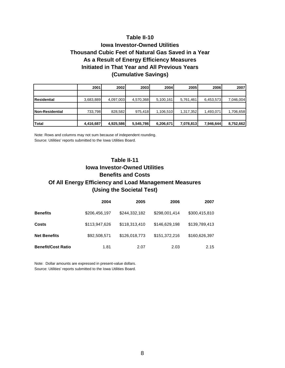#### **Table II-10**

# **(Cumulative Savings) Initiated in That Year and All Previous Years Iowa Investor-Owned Utilities Thousand Cubic Feet of Natural Gas Saved in a Year As a Result of Energy Efficiency Measures**

|                         | 2001      | <b>2002</b> | 2003      | <b>2004</b> | 2005      | <b>2006</b> | 2007      |
|-------------------------|-----------|-------------|-----------|-------------|-----------|-------------|-----------|
|                         |           |             |           |             |           |             |           |
| <b>IResidential</b>     | 3,683,889 | 4,097,003   | 4,570,368 | 5,100,161   | 5,761,461 | 6,453,573   | 7,046,004 |
|                         |           |             |           |             |           |             |           |
| <b>INon-Residential</b> | 733,798   | 828,582     | 975,418   | 1,106,510   | 1,317,352 | 1,493,071   | 1,706,658 |
|                         |           |             |           |             |           |             |           |
| Total                   | 4,416,687 | 4,925,586   | 5,545,786 | 6,206,671   | 7,078,813 | 7,946,644   | 8,752,662 |

Note: Rows and columns may not sum because of independent rounding. Source: Utilities' reports submitted to the Iowa Utilities Board.

# **(Using the Societal Test) Table II-11 Iowa Investor-Owned Utilities Benefits and Costs Of All Energy Efficiency and Load Management Measures**

|                           | 2004          | 2005          | 2006          | 2007          |
|---------------------------|---------------|---------------|---------------|---------------|
| <b>Benefits</b>           | \$206,456,197 | \$244,332,182 | \$298,001,414 | \$300,415,810 |
| <b>Costs</b>              | \$113,947,626 | \$118,313,410 | \$146,629,198 | \$139,789,413 |
| <b>Net Benefits</b>       | \$92,508,571  | \$126,018,773 | \$151,372,216 | \$160,626,397 |
| <b>Benefit/Cost Ratio</b> | 1.81          | 2.07          | 2.03          | 2.15          |

Note: Dollar amounts are expressed in present-value dollars. Source: Utilities' reports submitted to the Iowa Utilities Board.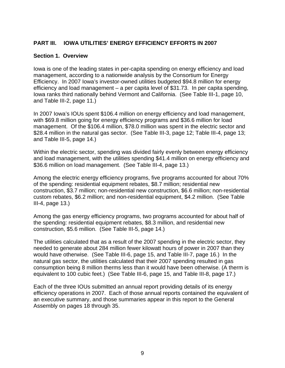# **PART III. IOWA UTILITIES' ENERGY EFFICIENCY EFFORTS IN 2007**

### **Section 1. Overview**

Iowa is one of the leading states in per-capita spending on energy efficiency and load management, according to a nationwide analysis by the Consortium for Energy Efficiency. In 2007 Iowa's investor-owned utilities budgeted \$94.8 million for energy efficiency and load management – a per capita level of \$31.73. In per capita spending, Iowa ranks third nationally behind Vermont and California. (See Table III-1, page 10, and Table III-2, page 11.)

In 2007 Iowa's IOUs spent \$106.4 million on energy efficiency and load management, with \$69.8 million going for energy efficiency programs and \$36.6 million for load management. Of the \$106.4 million, \$78.0 million was spent in the electric sector and \$28.4 million in the natural gas sector. (See Table III-3, page 12; Table III-4, page 13; and Table III-5, page 14.)

Within the electric sector, spending was divided fairly evenly between energy efficiency and load management, with the utilities spending \$41.4 million on energy efficiency and \$36.6 million on load management. (See Table III-4, page 13.)

Among the electric energy efficiency programs, five programs accounted for about 70% of the spending: residential equipment rebates, \$8.7 million; residential new construction, \$3.7 million; non-residential new construction, \$6.6 million; non-residential custom rebates, \$6.2 million; and non-residential equipment, \$4.2 million. (See Table III-4, page 13.)

Among the gas energy efficiency programs, two programs accounted for about half of the spending: residential equipment rebates, \$8.3 million, and residential new construction, \$5.6 million. (See Table III-5, page 14.)

The utilities calculated that as a result of the 2007 spending in the electric sector, they needed to generate about 284 million fewer kilowatt hours of power in 2007 than they would have otherwise. (See Table III-6, page 15, and Table III-7, page 16.) In the natural gas sector, the utilities calculated that their 2007 spending resulted in gas consumption being 8 million therms less than it would have been otherwise. (A therm is equivalent to 100 cubic feet.) (See Table III-6, page 15, and Table III-8, page 17.)

Each of the three IOUs submitted an annual report providing details of its energy efficiency operations in 2007. Each of those annual reports contained the equivalent of an executive summary, and those summaries appear in this report to the General Assembly on pages 18 through 35.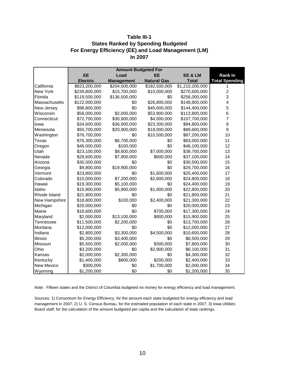#### **Table III-1 States Ranked by Spending Budgeted For Energy Efficiency (EE) and Load Management (LM) In 2007**

| <b>Amount Budgeted For</b> |                 |                   |                    |                 |                       |  |  |
|----------------------------|-----------------|-------------------|--------------------|-----------------|-----------------------|--|--|
|                            | EE              | Load              | EЕ                 | EE & LM         | <b>Rank In</b>        |  |  |
|                            | <b>Electric</b> | <b>Management</b> | <b>Natural Gas</b> | <b>Total</b>    | <b>Total Spending</b> |  |  |
| California                 | \$823,200,000   | \$204,500,000     | \$182,500,000      | \$1,210,200,000 |                       |  |  |
| New York                   | \$239,800,000   | \$15,700,000      | \$15,000,000       | \$270,600,000   | $\overline{c}$        |  |  |
| Florida                    | \$119,500,000   | \$136,500,000     | \$0                | \$256,000,000   | 3                     |  |  |
| Massachusetts              | \$122,000,000   | \$0               | \$26,800,000       | \$148,800,000   | 4                     |  |  |
| New Jersey                 | \$98,800,000    | \$0               | \$45,600,000       | \$144,400,000   | 5                     |  |  |
| Wisconsin                  | \$58,000,000    | \$2,000,000       | \$53,900,000       | \$113,800,000   | 6                     |  |  |
| Connecticut                | \$72,700,000    | \$30,900,000      | \$4,000,000        | \$107,700,000   | $\overline{7}$        |  |  |
| lowa                       | \$34,600,000    | \$36,900,000      | \$23,300,000       | \$94,800,000    | 8                     |  |  |
| Minnesota                  | \$50,700,000    | \$20,900,000      | \$18,000,000       | \$89,600,000    | 9                     |  |  |
| Washington                 | \$76,700,000    | \$0               | \$10,500,000       | \$87,200,000    | 10                    |  |  |
| Texas                      | \$76,300,000    | \$6,700,000       | \$0                | \$83,000,000    | 11                    |  |  |
| Oregon                     | \$46,000,000    | \$100,000         | \$0                | \$46,100,000    | 12                    |  |  |
| Utah                       | \$23,100,000    | \$8,600,000       | \$7,000,000        | \$38,700,000    | 13                    |  |  |
| Nevada                     | \$28,600,000    | \$7,900,000       | \$600,000          | \$37,100,000    | 14                    |  |  |
| Arizona                    | \$30,500,000    | \$0               | \$0                | \$30,500,000    | 15                    |  |  |
| Georgia                    | \$9,800,000     | \$19,900,000      | \$0                | \$29,700,000    | 16                    |  |  |
| Vermont                    | \$23,800,000    | \$0               | \$1,600,000        | \$25,400,000    | 17                    |  |  |
| Colorado                   | \$15,000,000    | \$7,200,000       | \$2,600,000        | \$24,800,000    | 18                    |  |  |
| Hawaii                     | \$19,300,000    | \$5,100,000       | \$0                | \$24,400,000    | 19                    |  |  |
| Idaho                      | \$15,900,000    | \$5,900,000       | \$1,000,000        | \$22,800,000    | 20                    |  |  |
| Rhode Island               | \$21,800,000    | \$0               | \$0                | \$21,800,000    | 21                    |  |  |
| New Hampshire              | \$18,800,000    | \$100,000         | \$2,400,000        | \$21,300,000    | 22                    |  |  |
| Michigan                   | \$20,000,000    | \$0               | \$0                | \$20,000,000    | 23                    |  |  |
| Maine                      | \$16,600,000    | \$0               | \$700,000          | \$17,300,000    | 24                    |  |  |
| Maryland                   | \$2,000,000     | \$13,100,000      | \$800,000          | \$15,900,000    | 25                    |  |  |
| Tennessee                  | \$11,500,000    | \$2,200,000       | \$0                | \$13,700,000    | 26                    |  |  |
| Montana                    | \$12,000,000    | \$0               | \$0                | \$12,000,000    | 27                    |  |  |
| Indiana                    | \$2,800,000     | \$3,300,000       | \$4,500,000        | \$10,600,000    | 28                    |  |  |
| <b>Illinois</b>            | \$5,200,000     | \$3,400,000       | \$0                | \$8,500,000     | 29                    |  |  |
| Missouri                   | \$5,500,000     | \$2,000,000       | \$300,000          | \$7,800,000     | 30                    |  |  |
| Ohio                       | \$3,200,000     | \$0               | \$2,900,000        | \$6,100,000     | 31                    |  |  |
| Kansas                     | \$2,000,000     | \$2,300,000       | \$0                | \$4,300,000     | 32                    |  |  |
| Kentucky                   | \$1,400,000     | \$800,000         | \$200,000          | \$2,400,000     | 33                    |  |  |
| <b>New Mexico</b>          | \$300,000       | \$0               | \$1,700,000        | \$2,000,000     | 34                    |  |  |
| Wyoming                    | \$1,200,000     | \$0               | \$0                | \$1,200,000     | 35                    |  |  |

Note: Fifteen states and the District of Columbia budgeted no money for energy efficiency and load management.

Sources: 1) Consortium for Energy Efficiency, for the amount each state budgeted for energy efficiency and load management in 2007; 2) U. S. Census Bureau, for the estimated population of each state in 2007; 3) Iowa Utilities Board staff, for the calculation of the amount budgeted per capita and the calculation of state rankings.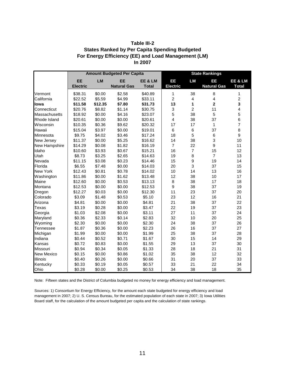| Table III-2                                          |
|------------------------------------------------------|
| <b>States Ranked by Per Capita Spending Budgeted</b> |
| For Energy Efficiency (EE) and Load Management (LM)  |
| In 2007                                              |

|                      | <b>Amount Budgeted Per Capita</b> |           |                    |              | <b>State Rankings</b> |                  |                           |                |
|----------------------|-----------------------------------|-----------|--------------------|--------------|-----------------------|------------------|---------------------------|----------------|
|                      | <b>EE</b>                         | <b>LM</b> | <b>EE</b>          | EE & LM      | EE                    | <b>LM</b>        | EE                        | EE & LM        |
|                      | <b>Electric</b>                   |           | <b>Natural Gas</b> | <b>Total</b> | <b>Electric</b>       |                  | <b>Natural Gas</b>        | <b>Total</b>   |
| Vermont              | \$38.31                           | \$0.00    | \$2.58             | \$40.89      | 1                     | 38               | 8                         | 1              |
| California           | \$22.52                           | \$5.59    | \$4.99             | \$33.11      | $\overline{c}$        | 4                | $\overline{\mathbf{4}}$   | $\overline{c}$ |
| lowa                 | \$11.58                           | \$12.35   | \$7.80             | \$31.73      | 13                    | 1                | $\overline{2}$            | 3              |
| Connecticut          | \$20.76                           | \$8.82    | \$1.14             | \$30.75      | $\mathfrak{S}$        | $\overline{2}$   | 11                        | 4              |
| <b>Massachusetts</b> | \$18.92                           | \$0.00    | \$4.16             | \$23.07      | 5                     | 38               | 5                         | 5              |
| Rhode Island         | \$20.61                           | \$0.00    | \$0.00             | \$20.61      | $\overline{4}$        | 38               | 37                        | 6              |
| Wisconsin            | \$10.35                           | \$0.36    | \$9.62             | \$20.32      | 17                    | 17               | $\mathbf{1}$              | $\overline{7}$ |
| Hawaii               | \$15.04                           | \$3.97    | \$0.00             | \$19.01      | 6                     | 6                | 37                        | 8              |
| Minnesota            | \$9.75                            | \$4.02    | \$3.46             | \$17.24      | 18                    | 5                | $\,6$                     | 9              |
| New Jersey           | \$11.37                           | \$0.00    | \$5.25             | \$16.62      | 14                    | 38               | $\ensuremath{\mathsf{3}}$ | 10             |
| New Hampshire        | \$14.29                           | \$0.08    | \$1.82             | \$16.19      | $\overline{7}$        | 22               | $\boldsymbol{9}$          | 11             |
| Idaho                | \$10.60                           | \$3.93    | \$0.67             | \$15.21      | 16                    | $\overline{7}$   | 15                        | 12             |
| Utah                 | \$8.73                            | \$3.25    | \$2.65             | \$14.63      | 19                    | 8                | $\overline{7}$            | 13             |
| Nevada               | \$11.15                           | \$3.08    | \$0.23             | \$14.46      | 15                    | $\boldsymbol{9}$ | 19                        | 14             |
| Florida              | \$6.55                            | \$7.48    | \$0.00             | \$14.03      | 20                    | 3                | 37                        | 15             |
| <b>New York</b>      | \$12.43                           | \$0.81    | \$0.78             | \$14.02      | 10                    | 14               | 13                        | 16             |
| Washington           | \$11.86                           | \$0.00    | \$1.62             | \$13.48      | 12                    | 38               | 10                        | 17             |
| Maine                | \$12.60                           | \$0.00    | \$0.53             | \$13.13      | 8                     | 38               | 17                        | 18             |
| Montana              | \$12.53                           | \$0.00    | \$0.00             | \$12.53      | $\boldsymbol{9}$      | 38               | 37                        | 19             |
| Oregon               | \$12.27                           | \$0.03    | \$0.00             | \$12.30      | 11                    | 23               | 37                        | 20             |
| Colorado             | \$3.09                            | \$1.48    | \$0.53             | \$5.10       | 23                    | 12               | 16                        | 21             |
| Arizona              | \$4.81                            | \$0.00    | \$0.00             | \$4.81       | 21                    | 38               | 37                        | 22             |
| Texas                | \$3.19                            | \$0.28    | \$0.00             | \$3.47       | 22                    | 19               | 37                        | 23             |
| Georgia              | \$1.03                            | \$2.08    | \$0.00             | \$3.11       | 27                    | 11               | 37                        | 24             |
| Maryland             | \$0.36                            | \$2.33    | \$0.14             | \$2.83       | 32                    | 10               | 20                        | 25             |
| Wyoming              | \$2.30                            | \$0.00    | \$0.00             | \$2.30       | 24                    | 38               | 37                        | 26             |
| Tennessee            | \$1.87                            | \$0.36    | \$0.00             | \$2.23       | 26                    | 16               | 37                        | 27             |
| Michigan             | \$1.99                            | \$0.00    | \$0.00             | \$1.99       | 25                    | 38               | 37                        | 28             |
| Indiana              | \$0.44                            | \$0.52    | \$0.71             | \$1.67       | 30                    | 15               | 14                        | 29             |
| Kansas               | \$0.72                            | \$0.83    | \$0.00             | \$1.55       | 29                    | 13               | 37                        | 30             |
| Missouri             | \$0.94                            | \$0.34    | \$0.05             | \$1.33       | 28                    | 18               | 21                        | 31             |
| New Mexico           | \$0.15                            | \$0.00    | \$0.86             | \$1.02       | 35                    | 38               | 12                        | 32             |
| Illinois             | \$0.40                            | \$0.26    | \$0.00             | \$0.66       | 31                    | 20               | 37                        | 33             |
| Kentucky             | \$0.33                            | \$0.19    | \$0.05             | \$0.57       | 33                    | 21               | 22                        | 34             |
| Ohio                 | \$0.28                            | \$0.00    | \$0.25             | \$0.53       | 34                    | 38               | 18                        | 35             |

Note: Fifteen states and the District of Columbia budgeted no money for energy efficiency and load management.

Sources: 1) Consortium for Energy Efficiency, for the amount each state budgeted for energy efficiency and load management in 2007; 2) U. S. Census Bureau, for the estimated population of each state in 2007; 3) Iowa Utilities Board staff, for the calculation of the amount budgeted per capita and the calculation of state rankings.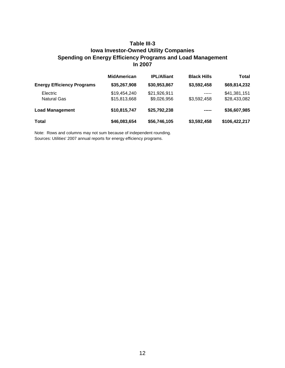# **Table III-3 Iowa Investor-Owned Utility Companies Spending on Energy Efficiency Programs and Load Management In 2007**

|                                   | <b>MidAmerican</b> | <b>IPL/Alliant</b> | <b>Black Hills</b> | <b>Total</b>  |
|-----------------------------------|--------------------|--------------------|--------------------|---------------|
| <b>Energy Efficiency Programs</b> | \$35,267,908       | \$30,953,867       | \$3,592,458        | \$69,814,232  |
| <b>Electric</b>                   | \$19,454,240       | \$21,926,911       | -----              | \$41,381,151  |
| <b>Natural Gas</b>                | \$15,813,668       | \$9,026,956        | \$3,592,458        | \$28,433,082  |
| <b>Load Management</b>            | \$10,815,747       | \$25,792,238       | -----              | \$36,607,985  |
| <b>Total</b>                      | \$46,083,654       | \$56,746,105       | \$3,592,458        | \$106,422,217 |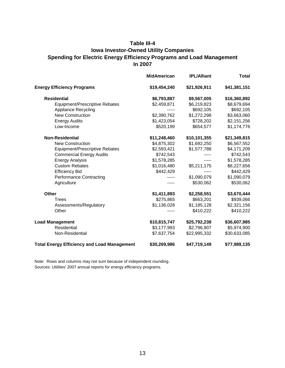# **Table III-4 Iowa Investor-Owned Utility Companies Spending for Electric Energy Efficiency Programs and Load Management In 2007**

|                                                    | <b>MidAmerican</b> | <b>IPL/Alliant</b> | <b>Total</b> |
|----------------------------------------------------|--------------------|--------------------|--------------|
| <b>Energy Efficiency Programs</b>                  | \$19,454,240       | \$21,926,911       | \$41,381,151 |
| <b>Residential</b>                                 | \$6,793,887        | \$9,567,005        | \$16,360,892 |
| Equipment/Prescriptive Rebates                     | \$2,459,871        | \$6,219,823        | \$8,679,694  |
| <b>Appliance Recycling</b>                         |                    | \$692,105          | \$692,105    |
| <b>New Construction</b>                            | \$2,390,762        | \$1,272,298        | \$3,663,060  |
| <b>Energy Audits</b>                               | \$1,423,054        | \$728,202          | \$2,151,256  |
| Low-Income                                         | \$520,199          | \$654,577          | \$1,174,776  |
| <b>Non-Residential</b>                             | \$11,248,460       | \$10,101,355       | \$21,349,815 |
| <b>New Construction</b>                            | \$4,875,302        | \$1,692,250        | \$6,567,552  |
| <b>Equipment/Prescriptive Rebates</b>              | \$2,593,421        | \$1,577,788        | \$4,171,209  |
| <b>Commercial Energy Audits</b>                    | \$742,543          |                    | \$742,543    |
| <b>Energy Analysis</b>                             | \$1,578,285        |                    | \$1,578,285  |
| <b>Custom Rebates</b>                              | \$1,016,480        | \$5,211,175        | \$6,227,656  |
| <b>Efficiency Bid</b>                              | \$442,429          | -----              | \$442,429    |
| <b>Performance Contracting</b>                     |                    | \$1,090,079        | \$1,090,079  |
| Agriculture                                        |                    | \$530,062          | \$530,062    |
| <b>Other</b>                                       | \$1,411,893        | \$2,258,551        | \$3,670,444  |
| <b>Trees</b>                                       | \$275,865          | \$663,201          | \$939,066    |
| Assessments/Regulatory                             | \$1,136,028        | \$1,185,128        | \$2,321,156  |
| Other                                              |                    | \$410,222          | \$410,222    |
| <b>Load Management</b>                             | \$10,815,747       | \$25,792,238       | \$36,607,985 |
| Residential                                        | \$3,177,993        | \$2,796,907        | \$5,974,900  |
| Non-Residential                                    | \$7,637,754        | \$22,995,332       | \$30,633,085 |
| <b>Total Energy Efficiency and Load Management</b> | \$30,269,986       | \$47,719,149       | \$77,989,135 |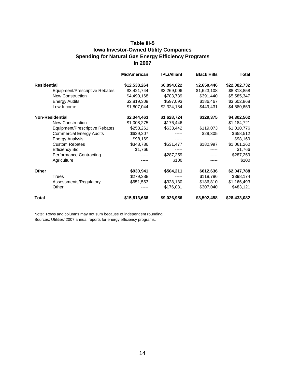#### **Table III-5 Iowa Investor-Owned Utility Companies Spending for Natural Gas Energy Efficiency Programs In 2007**

|                                 | <b>MidAmerican</b> | <b>IPL/Alliant</b> | <b>Black Hills</b> | <b>Total</b> |
|---------------------------------|--------------------|--------------------|--------------------|--------------|
| <b>Residential</b>              | \$12,538,264       | \$6,894,022        | \$2,650,446        | \$22,082,732 |
| Equipment/Prescriptive Rebates  | \$3,421,744        | \$3,269,006        | \$1,623,108        | \$8,313,858  |
| <b>New Construction</b>         | \$4,490,168        | \$703,739          | \$391,440          | \$5,585,347  |
| <b>Energy Audits</b>            | \$2,819,308        | \$597,093          | \$186,467          | \$3,602,868  |
| Low-Income                      | \$1,807,044        | \$2,324,184        | \$449,431          | \$4,580,659  |
| <b>Non-Residential</b>          | \$2,344,463        | \$1,628,724        | \$329,375          | \$4,302,562  |
| New Construction                | \$1,008,275        | \$176,446          |                    | \$1,184,721  |
| Equipment/Prescriptive Rebates  | \$258,261          | \$633,442          | \$119,073          | \$1,010,776  |
| <b>Commercial Energy Audits</b> | \$629,207          |                    | \$29,305           | \$658,512    |
| <b>Energy Analysis</b>          | \$98,169           |                    |                    | \$98,169     |
| <b>Custom Rebates</b>           | \$348,786          | \$531,477          | \$180,997          | \$1,061,260  |
| <b>Efficiency Bid</b>           | \$1,766            |                    |                    | \$1,766      |
| <b>Performance Contracting</b>  |                    | \$287,259          |                    | \$287,259    |
| Agriculture                     |                    | \$100              |                    | \$100        |
| Other                           | \$930,941          | \$504,211          | \$612,636          | \$2,047,788  |
| Trees                           | \$279,388          | -----              | \$118,786          | \$398,174    |
| Assessments/Regulatory          | \$651,553          | \$328,130          | \$186,810          | \$1,166,493  |
| Other                           |                    | \$176,081          | \$307,040          | \$483,121    |
| <b>Total</b>                    | \$15,813,668       | \$9,026,956        | \$3,592,458        | \$28,433,082 |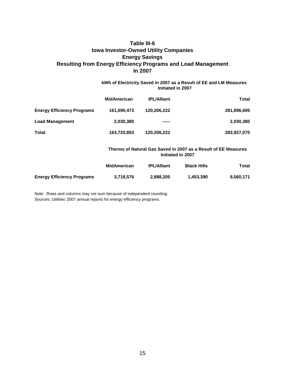# **Table III-6 Iowa Investor-Owned Utility Companies Resulting from Energy Efficiency Programs and Load Management In 2007 Energy Savings**

#### **kWh of Electricity Saved in 2007 as a Result of EE and LM Measures Initiated in 2007**

|                                   | <b>MidAmerican</b> | <b>IPL/Alliant</b> | <b>Total</b> |
|-----------------------------------|--------------------|--------------------|--------------|
| <b>Energy Efficiency Programs</b> | 161,690,473        | 120,206,222        | 281,896,695  |
| <b>Load Management</b>            | 2,030,380          | -----              | 2,030,380    |
| <b>Total</b>                      | 163,720,853        | 120,206,222        | 283,927,075  |

#### **Initiated in 2007 Therms of Natural Gas Saved in 2007 as a Result of EE Measures**

|                                   | <b>MidAmerican</b> | <b>IPL/Alliant</b> | <b>Black Hills</b> | Total     |
|-----------------------------------|--------------------|--------------------|--------------------|-----------|
| <b>Energy Efficiency Programs</b> | 3,718,576          | 2,888,205          | 1.453.390          | 8.060.171 |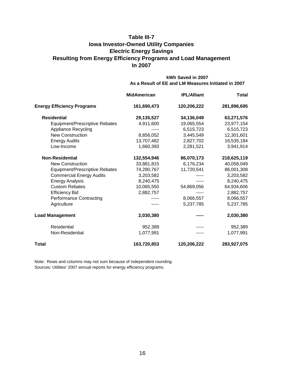# **In 2007 Table III-7 Iowa Investor-Owned Utility Companies Electric Energy Savings Resulting from Energy Efficiency Programs and Load Management**

#### **kWh Saved in 2007 As a Result of EE and LM Measures Initiated in 2007**

|                                   | <b>MidAmerican</b> | <b>IPL/Alliant</b> | <b>Total</b> |
|-----------------------------------|--------------------|--------------------|--------------|
| <b>Energy Efficiency Programs</b> | 161,690,473        | 120,206,222        | 281,896,695  |
| <b>Residential</b>                | 29,135,527         | 34,136,049         | 63,271,576   |
| Equipment/Prescriptive Rebates    | 4,911,600          | 19,065,554         | 23,977,154   |
| <b>Appliance Recycling</b>        |                    | 6,515,723          | 6,515,723    |
| <b>New Construction</b>           | 8,856,052          | 3,445,549          | 12,301,601   |
| <b>Energy Audits</b>              | 13,707,482         | 2,827,702          | 16,535,184   |
| Low-Income                        | 1,660,393          | 2,281,521          | 3,941,914    |
| <b>Non-Residential</b>            | 132,554,946        | 86,070,173         | 218,625,119  |
| <b>New Construction</b>           | 33,881,815         | 6,176,234          | 40,058,049   |
| Equipment/Prescriptive Rebates    | 74,280,767         | 11,720,541         | 86,001,308   |
| <b>Commercial Energy Audits</b>   | 3,203,582          |                    | 3,203,582    |
| <b>Energy Analysis</b>            | 8,240,475          |                    | 8,240,475    |
| <b>Custom Rebates</b>             | 10,065,550         | 54,869,056         | 64,934,606   |
| <b>Efficiency Bid</b>             | 2,882,757          |                    | 2,882,757    |
| <b>Performance Contracting</b>    |                    | 8,066,557          | 8,066,557    |
| Agriculture                       |                    | 5,237,785          | 5,237,785    |
| <b>Load Management</b>            | 2,030,380          |                    | 2,030,380    |
| Residential                       | 952,389            |                    | 952,389      |
| Non-Residential                   | 1,077,991          |                    | 1,077,991    |
| Total                             | 163,720,853        | 120,206,222        | 283,927,075  |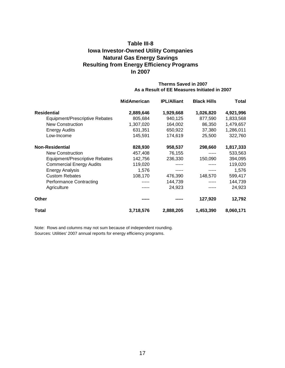# **In 2007 Table III-8 Iowa Investor-Owned Utility Companies Natural Gas Energy Savings Resulting from Energy Efficiency Programs**

#### **Therms Saved in 2007 As a Result of EE Measures Initiated in 2007**

|                                 | <b>MidAmerican</b> | <b>IPL/Alliant</b> | <b>Black Hills</b> | Total     |
|---------------------------------|--------------------|--------------------|--------------------|-----------|
| <b>Residential</b>              | 2,889,646          | 1,929,668          | 1,026,820          | 4,921,996 |
| Equipment/Prescriptive Rebates  | 805,684            | 940,125            | 877,590            | 1,833,568 |
| New Construction                | 1,307,020          | 164,002            | 86,350             | 1,479,657 |
| <b>Energy Audits</b>            | 631,351            | 650,922            | 37,380             | 1,286,011 |
| Low-Income                      | 145,591            | 174,619            | 25,500             | 322,760   |
| <b>Non-Residential</b>          | 828,930            | 958,537            | 298,660            | 1,817,333 |
| <b>New Construction</b>         | 457,408            | 76,155             | -----              | 533,563   |
| Equipment/Prescriptive Rebates  | 142,756            | 236,330            | 150,090            | 394,095   |
| <b>Commercial Energy Audits</b> | 119,020            |                    |                    | 119,020   |
| <b>Energy Analysis</b>          | 1,576              |                    |                    | 1,576     |
| <b>Custom Rebates</b>           | 108,170            | 476,390            | 148,570            | 599,417   |
| <b>Performance Contracting</b>  |                    | 144,739            |                    | 144,739   |
| Agriculture                     |                    | 24,923             |                    | 24,923    |
| <b>Other</b>                    |                    |                    | 127,920            | 12,792    |
| Total                           | 3,718,576          | 2,888,205          | 1,453,390          | 8,060,171 |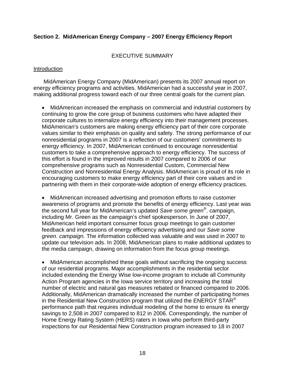#### **Section 2. MidAmerican Energy Company – 2007 Energy Efficiency Report**

#### EXECUTIVE SUMMARY

#### **Introduction**

MidAmerican Energy Company (MidAmerican) presents its 2007 annual report on energy efficiency programs and activities. MidAmerican had a successful year in 2007, making additional progress toward each of our three central goals for the current plan.

• MidAmerican increased the emphasis on commercial and industrial customers by continuing to grow the core group of business customers who have adapted their corporate cultures to internalize energy efficiency into their management processes. MidAmerican's customers are making energy efficiency part of their core corporate values similar to their emphasis on quality and safety. The strong performance of our nonresidential programs in 2007 is a reflection of our customers' commitments to energy efficiency. In 2007, MidAmerican continued to encourage nonresidential customers to take a comprehensive approach to energy efficiency. The success of this effort is found in the improved results in 2007 compared to 2006 of our comprehensive programs such as Nonresidential Custom, Commercial New Construction and Nonresidential Energy Analysis. MidAmerican is proud of its role in encouraging customers to make energy efficiency part of their core values and in partnering with them in their corporate-wide adoption of energy efficiency practices.

• MidAmerican increased advertising and promotion efforts to raise customer awareness of programs and promote the benefits of energy efficiency. Last year was the second full year for MidAmerican's updated *Save some green®*. campaign, including Mr. Green as the campaign's chief spokesperson. In June of 2007, MidAmerican held important consumer focus group meetings to gain customer feedback and impressions of energy efficiency advertising and our *Save some green. campaign.* The information collected was valuable and was used in 2007 to update our television ads. In 2008, MidAmerican plans to make additional updates to the media campaign, drawing on information from the focus group meetings.

• MidAmerican accomplished these goals without sacrificing the ongoing success of our residential programs. Major accomplishments in the residential sector included extending the Energy Wise low-income program to include all Community Action Program agencies in the Iowa service territory and increasing the total number of electric and natural gas measures rebated or financed compared to 2006. Additionally, MidAmerican dramatically increased the number of participating homes in the Residential New Construction program that utilized the ENERGY STAR<sup>®</sup> performance path that requires individual modeling of the home to ensure its energy savings to 2,508 in 2007 compared to 812 in 2006. Correspondingly, the number of Home Energy Rating System (HERS) raters in Iowa who perform third-party inspections for our Residential New Construction program increased to 18 in 2007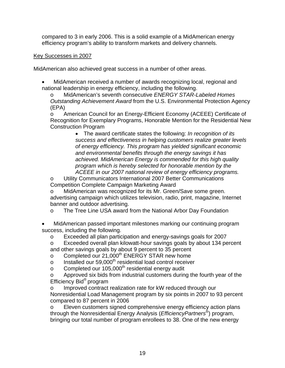compared to 3 in early 2006. This is a solid example of a MidAmerican energy efficiency program's ability to transform markets and delivery channels.

### Key Successes in 2007

MidAmerican also achieved great success in a number of other areas.

• MidAmerican received a number of awards recognizing local, regional and national leadership in energy efficiency, including the following.

o MidAmerican's seventh consecutive *ENERGY STAR-Labeled Homes Outstanding Achievement Award* from the U.S. Environmental Protection Agency (EPA)

o American Council for an Energy-Efficient Economy (ACEEE) Certificate of Recognition for Exemplary Programs, Honorable Mention for the Residential New Construction Program

• The award certificate states the following: *In recognition of its success and effectiveness in helping customers realize greater levels of energy efficiency. This program has yielded significant economic and environmental benefits through the energy savings it has achieved. MidAmerican Energy is commended for this high quality program which is hereby selected for honorable mention by the ACEEE in our 2007 national review of energy efficiency programs.*

o Utility Communicators International 2007 Better Communications Competition Complete Campaign Marketing Award

o MidAmerican was recognized for its Mr. Green/Save some green. advertising campaign which utilizes television, radio, print, magazine, Internet banner and outdoor advertising.

o The Tree Line USA award from the National Arbor Day Foundation

• MidAmerican passed important milestones marking our continuing program success, including the following.

o Exceeded all plan participation and energy-savings goals for 2007

o Exceeded overall plan kilowatt-hour savings goals by about 134 percent and other savings goals by about 9 percent to 35 percent

o Completed our 21,000<sup>th</sup> ENERGY STAR new home

o Installed our 59,000th residential load control receiver

 $\circ$  Completed our 105,000<sup>th</sup> residential energy audit

o Approved six bids from industrial customers during the fourth year of the Efficiency Bid® program

o Improved contract realization rate for kW reduced through our Nonresidential Load Management program by six points in 2007 to 93 percent compared to 87 percent in 2006

o Eleven customers signed comprehensive energy efficiency action plans through the Nonresidential Energy Analysis (*EfficiencyPartners*®) program, bringing our total number of program enrollees to 38. One of the new energy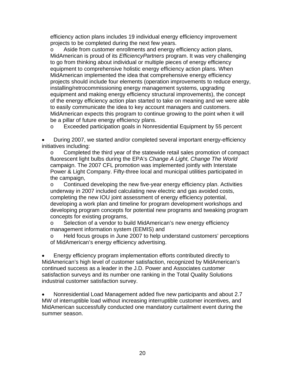efficiency action plans includes 19 individual energy efficiency improvement projects to be completed during the next few years.

o Aside from customer enrollments and energy efficiency action plans, MidAmerican is proud of its *EfficiencyPartners* program. It was very challenging to go from thinking about individual or multiple pieces of energy efficiency equipment to comprehensive holistic energy efficiency action plans. When MidAmerican implemented the idea that comprehensive energy efficiency projects should include four elements (operation improvements to reduce energy, installing/retrocommissioning energy management systems, upgrading equipment and making energy efficiency structural improvements), the concept of the energy efficiency action plan started to take on meaning and we were able to easily communicate the idea to key account managers and customers. MidAmerican expects this program to continue growing to the point when it will be a pillar of future energy efficiency plans.

o Exceeded participation goals in Nonresidential Equipment by 55 percent

• During 2007, we started and/or completed several important energy-efficiency initiatives including:

o Completed the third year of the statewide retail sales promotion of compact fluorescent light bulbs during the EPA's *Change A Light, Change The World* campaign. The 2007 CFL promotion was implemented jointly with Interstate Power & Light Company. Fifty-three local and municipal utilities participated in the campaign,

o Continued developing the new five-year energy efficiency plan. Activities underway in 2007 included calculating new electric and gas avoided costs, completing the new IOU joint assessment of energy efficiency potential, developing a work plan and timeline for program development workshops and developing program concepts for potential new programs and tweaking program concepts for existing programs,

o Selection of a vendor to build MidAmerican's new energy efficiency management information system (EEMIS) and

o Held focus groups in June 2007 to help understand customers' perceptions of MidAmerican's energy efficiency advertising.

• Energy efficiency program implementation efforts contributed directly to MidAmerican's high level of customer satisfaction, recognized by MidAmerican's continued success as a leader in the J.D. Power and Associates customer satisfaction surveys and its number one ranking in the Total Quality Solutions industrial customer satisfaction survey.

• Nonresidential Load Management added five new participants and about 2.7 MW of interruptible load without increasing interruptible customer incentives, and MidAmerican successfully conducted one mandatory curtailment event during the summer season.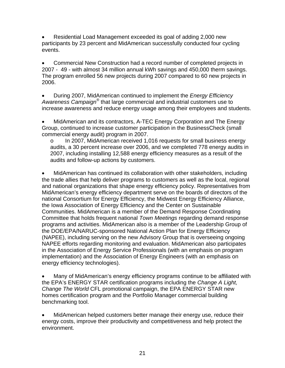• Residential Load Management exceeded its goal of adding 2,000 new participants by 23 percent and MidAmerican successfully conducted four cycling events.

• Commercial New Construction had a record number of completed projects in 2007 - 49 - with almost 34 million annual kWh savings and 450,000 therm savings. The program enrolled 56 new projects during 2007 compared to 60 new projects in 2006.

• During 2007, MidAmerican continued to implement the *Energy Efficiency Awareness Campaign®* that large commercial and industrial customers use to increase awareness and reduce energy usage among their employees and students.

• MidAmerican and its contractors, A-TEC Energy Corporation and The Energy Group, continued to increase customer participation in the BusinessCheck (small commercial energy audit) program in 2007.

o In 2007, MidAmerican received 1,016 requests for small business energy audits, a 30 percent increase over 2006, and we completed 778 energy audits in 2007, including installing 12,588 energy efficiency measures as a result of the audits and follow-up actions by customers.

• MidAmerican has continued its collaboration with other stakeholders, including the trade allies that help deliver programs to customers as well as the local, regional and national organizations that shape energy efficiency policy. Representatives from MidAmerican's energy efficiency department serve on the boards of directors of the national Consortium for Energy Efficiency, the Midwest Energy Efficiency Alliance, the Iowa Association of Energy Efficiency and the Center on Sustainable Communities. MidAmerican is a member of the Demand Response Coordinating Committee that holds frequent national *Town Meetings* regarding demand response programs and activities. MidAmerican also is a member of the Leadership Group of the DOE/EPA/NARUC-sponsored National Action Plan for Energy Efficiency (NAPEE), including serving on the new Advisory Group that is overseeing ongoing NAPEE efforts regarding monitoring and evaluation. MidAmerican also participates in the Association of Energy Service Professionals (with an emphasis on program implementation) and the Association of Energy Engineers (with an emphasis on energy efficiency technologies).

• Many of MidAmerican's energy efficiency programs continue to be affiliated with the EPA's ENERGY STAR certification programs including the *Change A Light, Change The World* CFL promotional campaign, the EPA ENERGY STAR new homes certification program and the Portfolio Manager commercial building benchmarking tool.

• MidAmerican helped customers better manage their energy use, reduce their energy costs, improve their productivity and competitiveness and help protect the environment.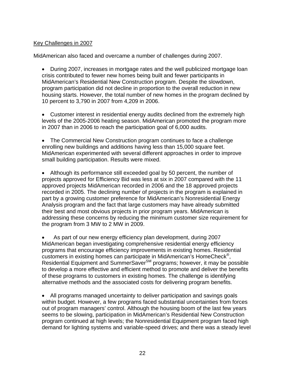#### Key Challenges in 2007

MidAmerican also faced and overcame a number of challenges during 2007.

• During 2007, increases in mortgage rates and the well publicized mortgage loan crisis contributed to fewer new homes being built and fewer participants in MidAmerican's Residential New Construction program. Despite the slowdown, program participation did not decline in proportion to the overall reduction in new housing starts. However, the total number of new homes in the program declined by 10 percent to 3,790 in 2007 from 4,209 in 2006.

• Customer interest in residential energy audits declined from the extremely high levels of the 2005-2006 heating season. MidAmerican promoted the program more in 2007 than in 2006 to reach the participation goal of 6,000 audits.

• The Commercial New Construction program continues to face a challenge enrolling new buildings and additions having less than 15,000 square feet. MidAmerican experimented with several different approaches in order to improve small building participation. Results were mixed.

• Although its performance still exceeded goal by 50 percent, the number of projects approved for Efficiency Bid was less at six in 2007 compared with the 11 approved projects MidAmerican recorded in 2006 and the 18 approved projects recorded in 2005. The declining number of projects in the program is explained in part by a growing customer preference for MidAmerican's Nonresidential Energy Analysis program and the fact that large customers may have already submitted their best and most obvious projects in prior program years. MidAmerican is addressing these concerns by reducing the minimum customer size requirement for the program from 3 MW to 2 MW in 2009.

• As part of our new energy efficiency plan development, during 2007 MidAmerican began investigating comprehensive residential energy efficiency programs that encourage efficiency improvements in existing homes. Residential customers in existing homes can participate in MidAmerican's HomeCheck®, Residential Equipment and SummerSaver<sup>SM</sup> programs; however, it may be possible to develop a more effective and efficient method to promote and deliver the benefits of these programs to customers in existing homes. The challenge is identifying alternative methods and the associated costs for delivering program benefits.

• All programs managed uncertainty to deliver participation and savings goals within budget. However, a few programs faced substantial uncertainties from forces out of program managers' control. Although the housing boom of the last few years seems to be slowing, participation in MidAmerican's Residential New Construction program continued at high levels; the Nonresidential Equipment program faced high demand for lighting systems and variable-speed drives; and there was a steady level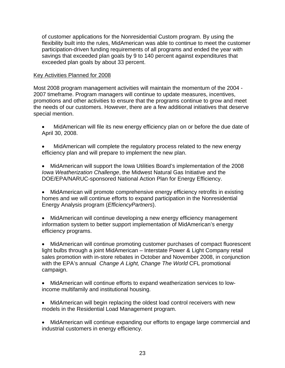of customer applications for the Nonresidential Custom program. By using the flexibility built into the rules, MidAmerican was able to continue to meet the customer participation-driven funding requirements of all programs and ended the year with savings that exceeded plan goals by 9 to 140 percent against expenditures that exceeded plan goals by about 33 percent.

#### Key Activities Planned for 2008

Most 2008 program management activities will maintain the momentum of the 2004 - 2007 timeframe. Program managers will continue to update measures, incentives, promotions and other activities to ensure that the programs continue to grow and meet the needs of our customers. However, there are a few additional initiatives that deserve special mention.

- MidAmerican will file its new energy efficiency plan on or before the due date of April 30, 2008.
- MidAmerican will complete the regulatory process related to the new energy efficiency plan and will prepare to implement the new plan.
- MidAmerican will support the Iowa Utilities Board's implementation of the 2008 *Iowa Weatherization Challenge*, the Midwest Natural Gas Initiative and the DOE/EPA/NARUC-sponsored National Action Plan for Energy Efficiency.
- MidAmerican will promote comprehensive energy efficiency retrofits in existing homes and we will continue efforts to expand participation in the Nonresidential Energy Analysis program (*EfficiencyPartners*).
- MidAmerican will continue developing a new energy efficiency management information system to better support implementation of MidAmerican's energy efficiency programs.

• MidAmerican will continue promoting customer purchases of compact fluorescent light bulbs through a joint MidAmerican – Interstate Power & Light Company retail sales promotion with in-store rebates in October and November 2008, in conjunction with the EPA's annual *Change A Light, Change The World* CFL promotional campaign.

- MidAmerican will continue efforts to expand weatherization services to lowincome multifamily and institutional housing.
- MidAmerican will begin replacing the oldest load control receivers with new models in the Residential Load Management program.
- MidAmerican will continue expanding our efforts to engage large commercial and industrial customers in energy efficiency.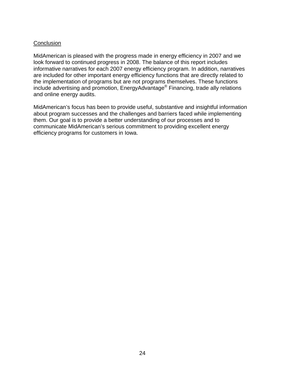#### **Conclusion**

MidAmerican is pleased with the progress made in energy efficiency in 2007 and we look forward to continued progress in 2008. The balance of this report includes informative narratives for each 2007 energy efficiency program. In addition, narratives are included for other important energy efficiency functions that are directly related to the implementation of programs but are not programs themselves. These functions include advertising and promotion, EnergyAdvantage® Financing, trade ally relations and online energy audits.

MidAmerican's focus has been to provide useful, substantive and insightful information about program successes and the challenges and barriers faced while implementing them. Our goal is to provide a better understanding of our processes and to communicate MidAmerican's serious commitment to providing excellent energy efficiency programs for customers in Iowa.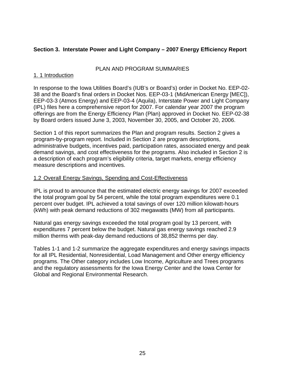# **Section 3. Interstate Power and Light Company – 2007 Energy Efficiency Report**

# PLAN AND PROGRAM SUMMARIES

### 1. 1 Introduction

In response to the Iowa Utilities Board's (IUB's or Board's) order in Docket No. EEP-02- 38 and the Board's final orders in Docket Nos. EEP-03-1 (MidAmerican Energy [MEC]), EEP-03-3 (Atmos Energy) and EEP-03-4 (Aquila), Interstate Power and Light Company (IPL) files here a comprehensive report for 2007. For calendar year 2007 the program offerings are from the Energy Efficiency Plan (Plan) approved in Docket No. EEP-02-38 by Board orders issued June 3, 2003, November 30, 2005, and October 20, 2006.

Section 1 of this report summarizes the Plan and program results. Section 2 gives a program-by-program report. Included in Section 2 are program descriptions, administrative budgets, incentives paid, participation rates, associated energy and peak demand savings, and cost effectiveness for the programs. Also included in Section 2 is a description of each program's eligibility criteria, target markets, energy efficiency measure descriptions and incentives.

# 1.2 Overall Energy Savings, Spending and Cost-Effectiveness

IPL is proud to announce that the estimated electric energy savings for 2007 exceeded the total program goal by 54 percent, while the total program expenditures were 0.1 percent over budget. IPL achieved a total savings of over 120 million kilowatt-hours (kWh) with peak demand reductions of 302 megawatts (MW) from all participants.

Natural gas energy savings exceeded the total program goal by 13 percent, with expenditures 7 percent below the budget. Natural gas energy savings reached 2.9 million therms with peak-day demand reductions of 38,852 therms per day.

Tables 1-1 and 1-2 summarize the aggregate expenditures and energy savings impacts for all IPL Residential, Nonresidential, Load Management and Other energy efficiency programs. The Other category includes Low Income, Agriculture and Trees programs and the regulatory assessments for the Iowa Energy Center and the Iowa Center for Global and Regional Environmental Research.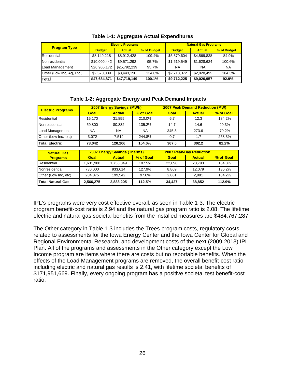| <b>Program Type</b>       |               | <b>Electric Programs</b> |             | <b>Natural Gas Programs</b> |               |                    |
|---------------------------|---------------|--------------------------|-------------|-----------------------------|---------------|--------------------|
|                           | <b>Budget</b> | <b>Actual</b>            | % of Budget | <b>Budget</b>               | <b>Actual</b> | <b>% of Budget</b> |
| Residential               | \$8,149,218   | \$8,912,428              | 109.4%      | \$5,379,604                 | \$4,569,838   | 84.9%              |
| Nonresidential            | \$10,000,442  | \$9,571,292              | 95.7%       | \$1,619,549                 | \$1,628,624   | 100.6%             |
| Load Management           | \$26,965,172  | \$25,792,239             | 95.7%       | <b>NA</b>                   | <b>NA</b>     | <b>NA</b>          |
| Other (Low Inc, Ag, Etc.) | \$2,570,039   | \$3,443,190              | 134.0%      | \$2,713,072                 | \$2,828,495   | 104.3%             |
| Total                     | \$47,684,871  | \$47,719,149             | 100.1%      | \$9,712,225                 | \$9,026,957   | 92.9%              |

#### **Table 1-2: Aggregate Energy and Peak Demand Impacts**

| <b>Electric Programs</b>                                              | <b>2007 Energy Savings (MWh)</b> |               |           | <b>2007 Peak Demand Reduction (MW)</b> |               |           |
|-----------------------------------------------------------------------|----------------------------------|---------------|-----------|----------------------------------------|---------------|-----------|
|                                                                       | Goal                             | <b>Actual</b> | % of Goal | Goal                                   | <b>Actual</b> | % of Goal |
| Residential                                                           | 15.170                           | 31.855        | 210.0%    | 6.7                                    | 12.3          | 184.2%    |
| Nonresidential                                                        | 59,800                           | 80,832        | 135.2%    | 14.7                                   | 14.6          | 99.3%     |
| Load Management                                                       | <b>NA</b>                        | <b>NA</b>     | <b>NA</b> | 345.5                                  | 273.6         | 79.2%     |
| Other (Low Inc, etc)                                                  | 3,072                            | 7.519         | 244.8%    | 0.7                                    | 1.7           | 253.3%    |
| <b>Total Electric</b>                                                 | 78,042                           | 120,206       | 154.0%    | 367.5                                  | 302.2         | 82.2%     |
| <b>2007 Energy Savings (Therms)</b><br><b>2007 Peak-Day Reduction</b> |                                  |               |           |                                        |               |           |
|                                                                       |                                  |               |           |                                        |               |           |
| <b>Natural Gas</b><br><b>Programs</b>                                 | Goal                             | <b>Actual</b> | % of Goal | Goal                                   | <b>Actual</b> | % of Goal |
| Residential                                                           | 1,631,900                        | 1,755,049     | 107.5%    | 22,698                                 | 23,793        | 104.8%    |
| Nonresidential                                                        | 730,000                          | 933,614       | 127.9%    | 8,869                                  | 12,079        | 136.2%    |
| Other (Low Inc, etc)                                                  | 204.375                          | 199,542       | 97.6%     | 2,861                                  | 2,981         | 104.2%    |

IPL's programs were very cost effective overall, as seen in Table 1-3. The electric program benefit-cost ratio is 2.94 and the natural gas program ratio is 2.08. The lifetime electric and natural gas societal benefits from the installed measures are \$484,767,287.

The Other category in Table 1-3 includes the Trees program costs, regulatory costs related to assessments for the Iowa Energy Center and the Iowa Center for Global and Regional Environmental Research, and development costs of the next (2009-2013) IPL Plan. All of the programs and assessments in the Other category except the Low Income program are items where there are costs but no reportable benefits. When the effects of the Load Management programs are removed, the overall benefit-cost ratio including electric and natural gas results is 2.41, with lifetime societal benefits of \$171,951,669. Finally, every ongoing program has a positive societal test benefit-cost ratio.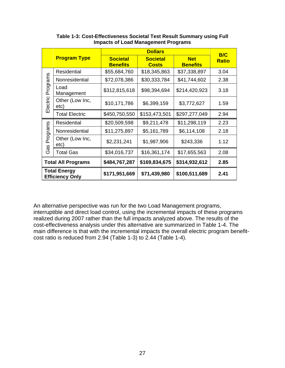|                                               |                         |                                    | <b>B/C</b>                      |                               |              |
|-----------------------------------------------|-------------------------|------------------------------------|---------------------------------|-------------------------------|--------------|
|                                               | <b>Program Type</b>     | <b>Societal</b><br><b>Benefits</b> | <b>Societal</b><br><b>Costs</b> | <b>Net</b><br><b>Benefits</b> | <b>Ratio</b> |
|                                               | Residential             | \$55,684,760                       | \$18,345,863                    | \$37,338,897                  | 3.04         |
|                                               | Nonresidential          | \$72,078,386                       | \$30,333,784                    | \$41,744,602                  | 2.38         |
| Programs<br>Electric                          | Load<br>Management      | \$312,815,618                      | \$98,394,694                    | \$214,420,923                 | 3.18         |
|                                               | Other (Low Inc,<br>etc) | \$10,171,786                       | \$6,399,159                     | \$3,772,627                   | 1.59         |
|                                               | <b>Total Electric</b>   | \$450,750,550                      | \$153,473,501                   | \$297,277,049                 | 2.94         |
|                                               | Residential             | \$20,509,598                       | \$9,211,478                     | \$11,298,119                  | 2.23         |
|                                               | Nonresidential          | \$11,275,897                       | \$5,161,789                     | \$6,114,108                   | 2.18         |
| Programs<br>as                                | Other (Low Inc,<br>etc) | \$2,231,241                        | \$1,987,906                     | \$243,336                     | 1.12         |
| ৩                                             | <b>Total Gas</b>        | \$34,016,737                       | \$16,361,174                    | \$17,655,563                  | 2.08         |
| <b>Total All Programs</b>                     |                         | \$484,767,287                      | \$169,834,675                   | \$314,932,612                 | 2.85         |
| <b>Total Energy</b><br><b>Efficiency Only</b> |                         | \$171,951,669                      | \$71,439,980                    | \$100,511,689                 | 2.41         |

**Table 1-3: Cost-Effectiveness Societal Test Result Summary using Full Impacts of Load Management Programs** 

An alternative perspective was run for the two Load Management programs, interruptible and direct load control, using the incremental impacts of these programs realized during 2007 rather than the full impacts analyzed above. The results of the cost-effectiveness analysis under this alternative are summarized in Table 1-4. The main difference is that with the incremental impacts the overall electric program benefitcost ratio is reduced from 2.94 (Table 1-3) to 2.44 (Table 1-4).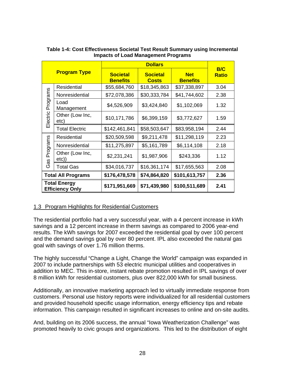|                      | <b>Program Type</b>                           | <b>Societal</b><br><b>Benefits</b> | <b>Societal</b><br><b>Costs</b> | <b>Net</b><br><b>Benefits</b> | B/C<br><b>Ratio</b> |
|----------------------|-----------------------------------------------|------------------------------------|---------------------------------|-------------------------------|---------------------|
|                      | Residential                                   | \$55,684,760                       | \$18,345,863                    | \$37,338,897                  | 3.04                |
|                      | Nonresidential                                | \$72,078,386                       | \$30,333,784                    | \$41,744,602                  | 2.38                |
| Programs<br>Electric | Load<br>Management                            | \$4,526,909                        | \$3,424,840                     | \$1,102,069                   | 1.32                |
|                      | Other (Low Inc,<br>etc)                       | \$10,171,786                       | \$6,399,159                     | \$3,772,627                   | 1.59                |
|                      | <b>Total Electric</b>                         | \$142,461,841                      | \$58,503,647                    | \$83,958,194                  | 2.44                |
|                      | Residential                                   | \$20,509,598                       | \$9,211,478                     | \$11,298,119                  | 2.23                |
|                      | Nonresidential                                | \$11,275,897                       | \$5,161,789                     | \$6,114,108                   | 2.18                |
| Programs<br>as       | Other (Low Inc,<br>etc))                      | \$2,231,241                        | \$1,987,906                     | \$243,336                     | 1.12                |
| ღ                    | <b>Total Gas</b>                              | \$34,016,737                       | \$16,361,174                    | \$17,655,563                  | 2.08                |
|                      | <b>Total All Programs</b>                     | \$176,478,578                      | \$74,864,820                    | \$101,613,757                 | 2.36                |
|                      | <b>Total Energy</b><br><b>Efficiency Only</b> | \$171,951,669                      | \$71,439,980                    | \$100,511,689                 | 2.41                |

#### **Table 1-4: Cost Effectiveness Societal Test Result Summary using Incremental Impacts of Load Management Programs**

# 1.3 Program Highlights for Residential Customers

The residential portfolio had a very successful year, with a 4 percent increase in kWh savings and a 12 percent increase in therm savings as compared to 2006 year-end results. The kWh savings for 2007 exceeded the residential goal by over 100 percent and the demand savings goal by over 80 percent. IPL also exceeded the natural gas goal with savings of over 1.76 million therms.

The highly successful "Change a Light, Change the World" campaign was expanded in 2007 to include partnerships with 53 electric municipal utilities and cooperatives in addition to MEC. This in-store, instant rebate promotion resulted in IPL savings of over 8 million kWh for residential customers, plus over 822,000 kWh for small business.

Additionally, an innovative marketing approach led to virtually immediate response from customers. Personal use history reports were individualized for all residential customers and provided household specific usage information, energy efficiency tips and rebate information. This campaign resulted in significant increases to online and on-site audits.

And, building on its 2006 success, the annual "Iowa Weatherization Challenge" was promoted heavily to civic groups and organizations. This led to the distribution of eight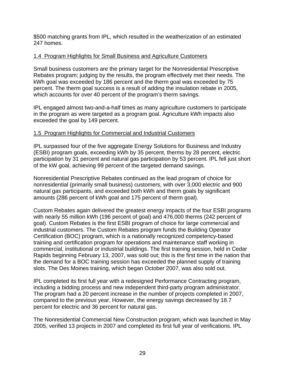\$500 matching grants from IPL, which resulted in the weatherization of an estimated 247 homes.

# 1.4 Program Highlights for Small Business and Agriculture Customers

Small business customers are the primary target for the Nonresidential Prescriptive Rebates program; judging by the results, the program effectively met their needs. The kWh goal was exceeded by 186 percent and the therm goal was exceeded by 75 percent. The therm goal success is a result of adding the insulation rebate in 2005, which accounts for over 40 percent of the program's therm savings.

IPL engaged almost two-and-a-half times as many agriculture customers to participate in the program as were targeted as a program goal. Agriculture kWh impacts also exceeded the goal by 149 percent.

# 1.5 Program Highlights for Commercial and Industrial Customers

IPL surpassed four of the five aggregate Energy Solutions for Business and Industry (ESBI) program goals, exceeding kWh by 35 percent, therms by 28 percent, electric participation by 31 percent and natural gas participation by 53 percent. IPL fell just short of the kW goal, achieving 99 percent of the targeted demand savings.

Nonresidential Prescriptive Rebates continued as the lead program of choice for nonresidential (primarily small business) customers, with over 3,000 electric and 900 natural gas participants, and exceeded both kWh and therm goals by significant amounts (286 percent of kWh goal and 175 percent of therm goal).

Custom Rebates again delivered the greatest energy impacts of the four ESBI programs with nearly 55 million kWh (196 percent of goal) and 476,000 therms (242 percent of goal). Custom Rebates is the first ESBI program of choice for large commercial and industrial customers. The Custom Rebates program funds the Building Operator Certification (BOC) program, which is a nationally recognized competency-based training and certification program for operations and maintenance staff working in commercial, institutional or industrial buildings. The first training session, held in Cedar Rapids beginning February 13, 2007, was sold out; this is the first time in the nation that the demand for a BOC training session has exceeded the planned supply of training slots. The Des Moines training, which began October 2007, was also sold out.

IPL completed its first full year with a redesigned Performance Contracting program, including a bidding process and new independent third-party program administrator. The program had a 20 percent increase in the number of projects completed in 2007, compared to the previous year. However, the energy savings decreased by 18.7 percent for electric and 36 percent for natural gas.

The Nonresidential Commercial New Construction program, which was launched in May 2005, verified 13 projects in 2007 and completed its first full year of verifications. IPL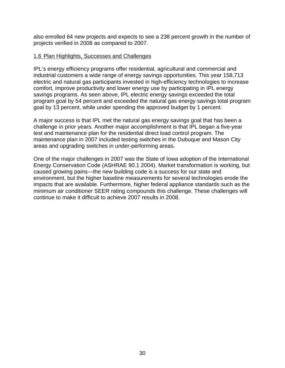also enrolled 64 new projects and expects to see a 238 percent growth in the number of projects verified in 2008 as compared to 2007.

#### 1.6 Plan Highlights, Successes and Challenges

IPL's energy efficiency programs offer residential, agricultural and commercial and industrial customers a wide range of energy savings opportunities. This year 158,713 electric and natural gas participants invested in high-efficiency technologies to increase comfort, improve productivity and lower energy use by participating in IPL energy savings programs. As seen above, IPL electric energy savings exceeded the total program goal by 54 percent and exceeded the natural gas energy savings total program goal by 13 percent, while under spending the approved budget by 1 percent.

A major success is that IPL met the natural gas energy savings goal that has been a challenge in prior years. Another major accomplishment is that IPL began a five-year test and maintenance plan for the residential direct load control program. The maintenance plan in 2007 included testing switches in the Dubuque and Mason City areas and upgrading switches in under-performing areas.

One of the major challenges in 2007 was the State of Iowa adoption of the International Energy Conservation Code (ASHRAE 90.1 2004). Market transformation is working, but caused growing pains—the new building code is a success for our state and environment, but the higher baseline measurements for several technologies erode the impacts that are available. Furthermore, higher federal appliance standards such as the minimum air conditioner SEER rating compounds this challenge. These challenges will continue to make it difficult to achieve 2007 results in 2008.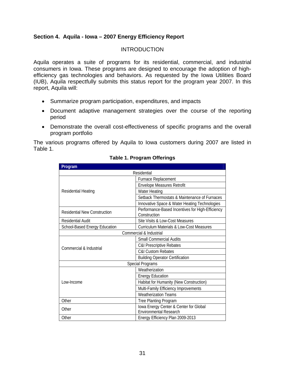# **Section 4. Aquila - Iowa – 2007 Energy Efficiency Report**

#### **INTRODUCTION**

Aquila operates a suite of programs for its residential, commercial, and industrial consumers in Iowa. These programs are designed to encourage the adoption of highefficiency gas technologies and behaviors. As requested by the Iowa Utilities Board (IUB), Aquila respectfully submits this status report for the program year 2007. In this report, Aquila will:

- Summarize program participation, expenditures, and impacts
- Document adaptive management strategies over the course of the reporting period
- Demonstrate the overall cost-effectiveness of specific programs and the overall program portfolio

The various programs offered by Aquila to Iowa customers during 2007 are listed in Table 1.

| Program                             |                                                                  |  |  |  |  |
|-------------------------------------|------------------------------------------------------------------|--|--|--|--|
| Residential                         |                                                                  |  |  |  |  |
|                                     | Furnace Replacement                                              |  |  |  |  |
|                                     | <b>Envelope Measures Retrofit</b>                                |  |  |  |  |
| Residential Heating                 | <b>Water Heating</b>                                             |  |  |  |  |
|                                     | Setback Thermostats & Maintenance of Furnaces                    |  |  |  |  |
|                                     | Innovative Space & Water Heating Technologies                    |  |  |  |  |
| <b>Residential New Construction</b> | Performance-Based Incentives for High-Efficiency<br>Construction |  |  |  |  |
| Residential Audit                   | Site Visits & Low-Cost Measures                                  |  |  |  |  |
| School-Based Energy Education       | <b>Curriculum Materials &amp; Low-Cost Measures</b>              |  |  |  |  |
|                                     | Commercial & Industrial                                          |  |  |  |  |
|                                     | <b>Small Commercial Audits</b>                                   |  |  |  |  |
| Commercial & Industrial             | C&I Prescriptive Rebates                                         |  |  |  |  |
|                                     | <b>C&amp;I Custom Rebates</b>                                    |  |  |  |  |
|                                     | <b>Building Operator Certification</b>                           |  |  |  |  |
|                                     | <b>Special Programs</b>                                          |  |  |  |  |
|                                     | Weatherization                                                   |  |  |  |  |
|                                     | <b>Energy Education</b>                                          |  |  |  |  |
| Low-Income                          | Habitat for Humanity (New Construction)                          |  |  |  |  |
|                                     | Multi-Family Efficiency Improvements                             |  |  |  |  |
|                                     | <b>Weatherization Teams</b>                                      |  |  |  |  |
| Other                               | Tree Planting Program                                            |  |  |  |  |
| Other                               | lowa Energy Center & Center for Global                           |  |  |  |  |
|                                     | <b>Environmental Research</b>                                    |  |  |  |  |
| Other                               | Energy Efficiency Plan 2009-2013                                 |  |  |  |  |

#### **Table 1. Program Offerings**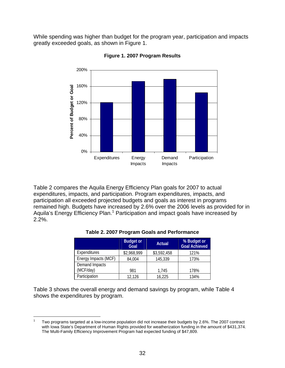While spending was higher than budget for the program year, participation and impacts greatly exceeded goals, as shown in Figure 1.



**Figure 1. 2007 Program Results** 

Table 2 compares the Aquila Energy Efficiency Plan goals for 2007 to actual expenditures, impacts, and participation. Program expenditures, impacts, and participation all exceeded projected budgets and goals as interest in programs remained high. Budgets have increased by 2.6% over the 2006 levels as provided for in Aquila's Energy Efficiency Plan.<sup>1</sup> Participation and impact goals have increased by 2.2%.

|                      | <b>Budget or</b><br>Goal | Actual      | % Budget or<br><b>Goal Achieved</b> |
|----------------------|--------------------------|-------------|-------------------------------------|
| Expenditures         | \$2,968,999              | \$3,592,458 | 121%                                |
| Energy Impacts (MCF) | 84,004                   | 145,339     | 173%                                |
| Demand Impacts       |                          |             |                                     |
| (MCF/day)            | 981                      | 1.745       | 178%                                |
| Participation        | 12,126                   | 16,225      | 134%                                |

#### **Table 2. 2007 Program Goals and Performance**

Table 3 shows the overall energy and demand savings by program, while Table 4 shows the expenditures by program.

 $\overline{a}$ 1 Two programs targeted at a low-income population did not increase their budgets by 2.6%. The 2007 contract with Iowa State's Department of Human Rights provided for weatherization funding in the amount of \$431,374. The Multi-Family Efficiency Improvement Program had expected funding of \$47,809.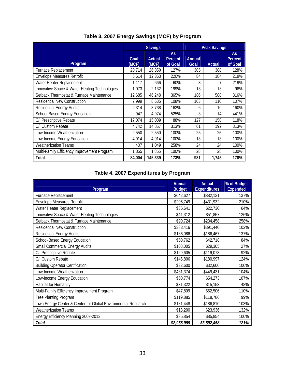|                                               | <b>Savings</b> |                 |                                 | <b>Peak Savings</b>   |        |                          |  |
|-----------------------------------------------|----------------|-----------------|---------------------------------|-----------------------|--------|--------------------------|--|
| Program                                       | Goal<br>(MCF)  | Actual<br>(MCF) | <b>As</b><br>Percent<br>of Goal | <b>Annual</b><br>Goal | Actual | As<br>Percent<br>of Goal |  |
| Furnace Replacement                           | 20,714         | 26,350          | 127%                            | 305                   | 388    | 128%                     |  |
| Envelope Measures Retrofit                    | 5,614          | 12,363          | 220%                            | 84                    | 184    | 219%                     |  |
| Water Heater Replacement                      | 1,117          | 666             | 60%                             | 3                     |        | 219%                     |  |
| Innovative Space & Water Heating Technologies | 1,073          | 2,132           | 199%                            | 13                    | 13     | 98%                      |  |
| Setback Thermostat & Furnace Maintenance      | 12,685         | 46,248          | 365%                            | 186                   | 588    | 316%                     |  |
| <b>Residential New Construction</b>           | 7,999          | 8,635           | 108%                            | 103                   | 110    | 107%                     |  |
| <b>Residential Energy Audits</b>              | 2,314          | 3,738           | 162%                            | 6                     | 10     | 160%                     |  |
| School-Based Energy Education                 | 947            | 4,974           | 525%                            | 3                     | 14     | 441%                     |  |
| C/I Prescriptive Rebate                       | 17,074         | 15,009          | 88%                             | 127                   | 150    | 118%                     |  |
| C/I Custom Rebate                             | 4,742          | 14,857          | 313%                            | 61                    | 192    | 313%                     |  |
| Low-Income Weatherization                     | 2,550          | 2,550           | 100%                            | 25                    | 25     | 100%                     |  |
| Low-Income Energy Education                   | 4,914          | 4,914           | 100%                            | 13                    | 13     | 100%                     |  |
| <b>Weatherization Teams</b>                   | 407            | 1,049           | 258%                            | 24                    | 24     | 100%                     |  |
| Multi-Family Efficiency Improvement Program   | 1,855          | 1,855           | 100%                            | 28                    | 28     | 100%                     |  |
| Total                                         | 84,004         | 145,339         | 173%                            | 981                   | 1,745  | 178%                     |  |

# **Table 3. 2007 Energy Savings (MCF) by Program**

# **Table 4. 2007 Expenditures by Program**

| Program                                                       | <b>Annual</b><br><b>Budget</b> | <b>Actual</b><br><b>Expenditures</b> | % of Budget<br><b>Expended</b> |
|---------------------------------------------------------------|--------------------------------|--------------------------------------|--------------------------------|
| Furnace Replacement                                           | \$642,627                      | \$882,131                            | 137%                           |
| <b>Envelope Measures Retrofit</b>                             | \$205,749                      | \$431,932                            | 210%                           |
| Water Heater Replacement                                      | \$35,641                       | \$22,730                             | 64%                            |
| Innovative Space & Water Heating Technologies                 | \$41,312                       | \$51,857                             | 126%                           |
| Setback Thermostat & Furnace Maintenance                      | \$90,724                       | \$234,458                            | 258%                           |
| <b>Residential New Construction</b>                           | \$383,416                      | \$391,440                            | 102%                           |
| Residential Energy Audits                                     | \$136,086                      | \$186,467                            | 137%                           |
| School-Based Energy Education                                 | \$50,762                       | \$42,718                             | 84%                            |
| <b>Small Commercial Energy Audits</b>                         | \$108,005                      | \$29,305                             | 27%                            |
| C/I Prescriptive Rebate                                       | \$129,605                      | \$119,073                            | 92%                            |
| C/I Custom Rebate                                             | \$145,806                      | \$180,997                            | 124%                           |
| <b>Building Operator Certification</b>                        | \$32,600                       | \$32,600                             | 100%                           |
| Low-Income Weatherization                                     | \$431,374                      | \$449,431                            | 104%                           |
| Low-Income Energy Education                                   | \$50,774                       | \$54,273                             | 107%                           |
| <b>Habitat for Humanity</b>                                   | \$31,322                       | \$15,153                             | 48%                            |
| Multi-Family Efficiency Improvement Program                   | \$47,809                       | \$52,506                             | 110%                           |
| Tree Planting Program                                         | \$119,885                      | \$118,786                            | 99%                            |
| lowa Energy Center & Center for Global Environmental Research | \$181,448                      | \$186,810                            | 103%                           |
| <b>Weatherization Teams</b>                                   | \$18,200                       | \$23,936                             | 132%                           |
| Energy Efficiency Planning 2009-2013                          | \$85,854                       | \$85,854                             | 100%                           |
| Total                                                         | \$2,968,999                    | \$3,592,458                          | 121%                           |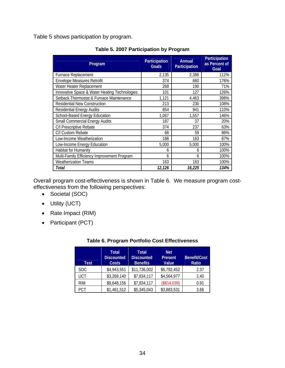Table 5 shows participation by program.

| Program                                       | <b>Participation</b><br><b>Goals</b> | Annual<br>Participation | Participation<br>as Percent of<br>Goal |
|-----------------------------------------------|--------------------------------------|-------------------------|----------------------------------------|
| <b>Furnace Replacement</b>                    | 2,135                                | 2,386                   | 112%                                   |
| <b>Envelope Measures Retrofit</b>             | 374                                  | 660                     | 176%                                   |
| Water Heater Replacement                      | 268                                  | 190                     | 71%                                    |
| Innovative Space & Water Heating Technologies | 101                                  | 127                     | 126%                                   |
| Setback Thermostat & Furnace Maintenance      | 1,121                                | 4,463                   | 398%                                   |
| <b>Residential New Construction</b>           | 213                                  | 230                     | 108%                                   |
| <b>Residential Energy Audits</b>              | 854                                  | 941                     | 110%                                   |
| School-Based Energy Education                 | 1,067                                | 1,557                   | 146%                                   |
| <b>Small Commercial Energy Audits</b>         | 187                                  | 37                      | 20%                                    |
| C/I Prescriptive Rebate                       | 374                                  | 237                     | 63%                                    |
| C/I Custom Rebate                             | 68                                   | 59                      | 86%                                    |
| Low-Income Weatherization                     | 188                                  | 163                     | 87%                                    |
| Low-Income Energy Education                   | 5,000                                | 5,000                   | 100%                                   |
| <b>Habitat for Humanity</b>                   | 6                                    | 6                       | 100%                                   |
| Multi-Family Efficiency Improvement Program   | 6                                    | 6                       | 100%                                   |
| <b>Weatherization Teams</b>                   | 163                                  | 163                     | 100%                                   |
| Total                                         | 12,126                               | 16,225                  | 134%                                   |

**Table 5. 2007 Participation by Program** 

Overall program cost-effectiveness is shown in Table 6. We measure program costeffectiveness from the following perspectives:

- Societal (SOC)
- Utility (UCT)
- Rate Impact (RIM)
- Participant (PCT)

| <b>Table 6. Program Portfolio Cost Effectiveness</b> |  |
|------------------------------------------------------|--|
|------------------------------------------------------|--|

| Test       | <b>Total</b><br><b>Discounted</b><br><b>Costs</b> | <b>Total</b><br><b>Discounted</b><br><b>Benefits</b> | Net<br><b>Present</b><br>Value | Benefit/Cost<br>Ratio |
|------------|---------------------------------------------------|------------------------------------------------------|--------------------------------|-----------------------|
| SOC        | \$4,943,551                                       | \$11,736,002                                         | \$6,792,452                    | 2.37                  |
| UCT        | \$3,269,140                                       | \$7,834,117                                          | \$4,564,977                    | 2.40                  |
| <b>RIM</b> | \$8,648,156                                       | \$7,834,117                                          | (\$814,039)                    | 0.91                  |
| PCT        | \$1,461,512                                       | \$5,345,043                                          | \$3,883,531                    | 3.66                  |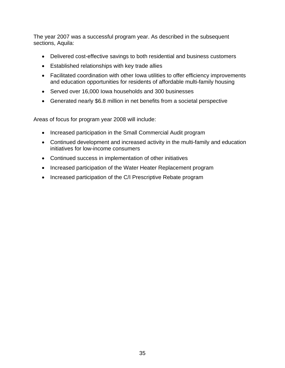The year 2007 was a successful program year. As described in the subsequent sections, Aquila:

- Delivered cost-effective savings to both residential and business customers
- Established relationships with key trade allies
- Facilitated coordination with other Iowa utilities to offer efficiency improvements and education opportunities for residents of affordable multi-family housing
- Served over 16,000 Iowa households and 300 businesses
- Generated nearly \$6.8 million in net benefits from a societal perspective

Areas of focus for program year 2008 will include:

- Increased participation in the Small Commercial Audit program
- Continued development and increased activity in the multi-family and education initiatives for low-income consumers
- Continued success in implementation of other initiatives
- Increased participation of the Water Heater Replacement program
- Increased participation of the C/I Prescriptive Rebate program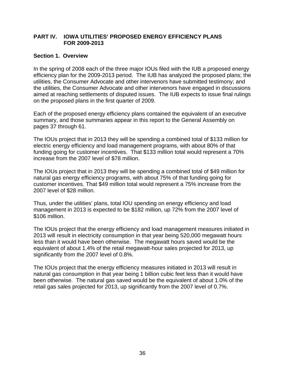#### **PART IV. IOWA UTILITIES' PROPOSED ENERGY EFFICIENCY PLANS FOR 2009-2013**

#### **Section 1. Overview**

In the spring of 2008 each of the three major IOUs filed with the IUB a proposed energy efficiency plan for the 2009-2013 period. The IUB has analyzed the proposed plans; the utilities, the Consumer Advocate and other intervenors have submitted testimony; and the utilities, the Consumer Advocate and other intervenors have engaged in discussions aimed at reaching settlements of disputed issues. The IUB expects to issue final rulings on the proposed plans in the first quarter of 2009.

Each of the proposed energy efficiency plans contained the equivalent of an executive summary, and those summaries appear in this report to the General Assembly on pages 37 through 61.

The IOUs project that in 2013 they will be spending a combined total of \$133 million for electric energy efficiency and load management programs, with about 80% of that funding going for customer incentives. That \$133 million total would represent a 70% increase from the 2007 level of \$78 million.

The IOUs project that in 2013 they will be spending a combined total of \$49 million for natural gas energy efficiency programs, with about 75% of that funding going for customer incentives. That \$49 million total would represent a 75% increase from the 2007 level of \$28 million.

Thus, under the utilities' plans, total IOU spending on energy efficiency and load management in 2013 is expected to be \$182 million, up 72% from the 2007 level of \$106 million.

The IOUs project that the energy efficiency and load management measures initiated in 2013 will result in electricity consumption in that year being 520,000 megawatt hours less than it would have been otherwise. The megawatt hours saved would be the equivalent of about 1.4% of the retail megawatt-hour sales projected for 2013, up significantly from the 2007 level of 0.8%.

The IOUs project that the energy efficiency measures initiated in 2013 will result in natural gas consumption in that year being 1 billion cubic feet less than it would have been otherwise. The natural gas saved would be the equivalent of about 1.0% of the retail gas sales projected for 2013, up significantly from the 2007 level of 0.7%.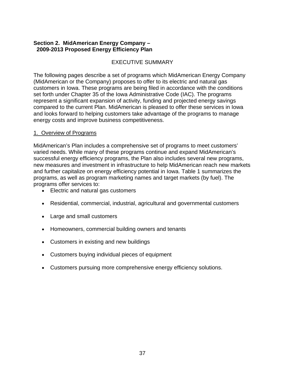# **Section 2. MidAmerican Energy Company – 2009-2013 Proposed Energy Efficiency Plan**

# EXECUTIVE SUMMARY

The following pages describe a set of programs which MidAmerican Energy Company (MidAmerican or the Company) proposes to offer to its electric and natural gas customers in Iowa. These programs are being filed in accordance with the conditions set forth under Chapter 35 of the Iowa Administrative Code (IAC). The programs represent a significant expansion of activity, funding and projected energy savings compared to the current Plan. MidAmerican is pleased to offer these services in Iowa and looks forward to helping customers take advantage of the programs to manage energy costs and improve business competitiveness.

# 1. Overview of Programs

MidAmerican's Plan includes a comprehensive set of programs to meet customers' varied needs. While many of these programs continue and expand MidAmerican's successful energy efficiency programs, the Plan also includes several new programs, new measures and investment in infrastructure to help MidAmerican reach new markets and further capitalize on energy efficiency potential in Iowa. Table 1 summarizes the programs, as well as program marketing names and target markets (by fuel). The programs offer services to:

- Electric and natural gas customers
- Residential, commercial, industrial, agricultural and governmental customers
- Large and small customers
- Homeowners, commercial building owners and tenants
- Customers in existing and new buildings
- Customers buying individual pieces of equipment
- Customers pursuing more comprehensive energy efficiency solutions.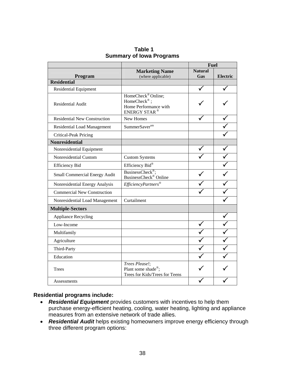|                                     |                                                                                                    | <b>Fuel</b>    |                 |
|-------------------------------------|----------------------------------------------------------------------------------------------------|----------------|-----------------|
|                                     | <b>Marketing Name</b>                                                                              | <b>Natural</b> |                 |
| Program<br><b>Residential</b>       | (where applicable)                                                                                 | Gas            | <b>Electric</b> |
|                                     |                                                                                                    |                |                 |
| <b>Residential Equipment</b>        |                                                                                                    |                |                 |
| <b>Residential Audit</b>            | HomeCheck <sup>®</sup> Online;<br>HomeCheck®;<br>Home Performance with<br>ENERGY STAR <sup>®</sup> |                |                 |
| <b>Residential New Construction</b> | New Homes                                                                                          |                |                 |
| <b>Residential Load Management</b>  | SummerSaver <sup>sm</sup>                                                                          |                |                 |
| <b>Critical-Peak Pricing</b>        |                                                                                                    |                |                 |
| <b>Nonresidential</b>               |                                                                                                    |                |                 |
| Nonresidential Equipment            |                                                                                                    |                |                 |
| Nonresidential Custom               | <b>Custom Systems</b>                                                                              |                |                 |
| <b>Efficiency Bid</b>               | Efficiency Bid®                                                                                    |                |                 |
| Small Commercial Energy Audit       | BusinessCheck <sup>®</sup> ;<br>BusinessCheck® Online                                              |                |                 |
| Nonresidential Energy Analysis      | EfficiencyPartners®                                                                                |                |                 |
| <b>Commercial New Construction</b>  |                                                                                                    |                |                 |
| Nonresidential Load Management      | Curtailment                                                                                        |                |                 |
| <b>Multiple-Sectors</b>             |                                                                                                    |                |                 |
| <b>Appliance Recycling</b>          |                                                                                                    |                |                 |
| Low-Income                          |                                                                                                    |                |                 |
| Multifamily                         |                                                                                                    |                |                 |
| Agriculture                         |                                                                                                    |                |                 |
| Third-Party                         |                                                                                                    |                |                 |
| Education                           |                                                                                                    |                |                 |
| Trees                               | Trees Please!;<br>Plant some shade®;<br>Trees for Kids/Trees for Teens                             |                |                 |
| Assessments                         |                                                                                                    |                |                 |

**Table 1 Summary of Iowa Programs** 

# **Residential programs include:**

- *Residential Equipment* provides customers with incentives to help them purchase energy-efficient heating, cooling, water heating, lighting and appliance measures from an extensive network of trade allies.
- *Residential Audit* helps existing homeowners improve energy efficiency through three different program options: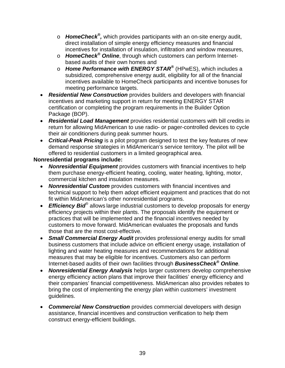- o *HomeCheck®,* which provides participants with an on-site energy audit, direct installation of simple energy efficiency measures and financial incentives for installation of insulation, infiltration and window measures,
- o *HomeCheck® Online*, through which customers can perform Internetbased audits of their own homes and
- o *Home Performance with ENERGY STAR®* (HPwES), which includes a subsidized, comprehensive energy audit, eligibility for all of the financial incentives available to HomeCheck participants and incentive bonuses for meeting performance targets.
- *Residential New Construction* provides builders and developers with financial incentives and marketing support in return for meeting ENERGY STAR certification or completing the program requirements in the Builder Option Package (BOP).
- *Residential Load Management* provides residential customers with bill credits in return for allowing MidAmerican to use radio- or pager-controlled devices to cycle their air conditioners during peak summer hours.
- *Critical-Peak Pricing* is a pilot program designed to test the key features of new demand response strategies in MidAmerican's service territory. The pilot will be offered to residential customers in a limited geographical area.

# **Nonresidential programs include:**

- *Nonresidential Equipment* provides customers with financial incentives to help them purchase energy-efficient heating, cooling, water heating, lighting, motor, commercial kitchen and insulation measures.
- *Nonresidential Custom* provides customers with financial incentives and technical support to help them adopt efficient equipment and practices that do not fit within MidAmerican's other nonresidential programs.
- *Efficiency Bid®* allows large industrial customers to develop proposals for energy efficiency projects within their plants. The proposals identify the equipment or practices that will be implemented and the financial incentives needed by customers to move forward. MidAmerican evaluates the proposals and funds those that are the most cost-effective.
- *Small Commercial Energy Audit* provides professional energy audits for small business customers that include advice on efficient energy usage, installation of lighting and water heating measures and recommendations for additional measures that may be eligible for incentives. Customers also can perform Internet-based audits of their own facilities through *BusinessCheck® Online*.
- *Nonresidential Energy Analysis* helps larger customers develop comprehensive energy efficiency action plans that improve their facilities' energy efficiency and their companies' financial competitiveness. MidAmerican also provides rebates to bring the cost of implementing the energy plan within customers' investment guidelines.
- *Commercial New Construction* provides commercial developers with design assistance, financial incentives and construction verification to help them construct energy-efficient buildings.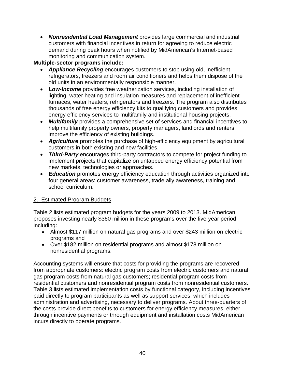• *Nonresidential Load Management* provides large commercial and industrial customers with financial incentives in return for agreeing to reduce electric demand during peak hours when notified by MidAmerican's Internet-based monitoring and communication system.

# **Multiple-sector programs include:**

- *Appliance Recycling* encourages customers to stop using old, inefficient refrigerators, freezers and room air conditioners and helps them dispose of the old units in an environmentally responsible manner.
- *Low-Income* provides free weatherization services, including installation of lighting, water heating and insulation measures and replacement of inefficient furnaces, water heaters, refrigerators and freezers. The program also distributes thousands of free energy efficiency kits to qualifying customers and provides energy efficiency services to multifamily and institutional housing projects.
- *Multifamily* provides a comprehensive set of services and financial incentives to help multifamily property owners, property managers, landlords and renters improve the efficiency of existing buildings.
- *Agriculture* promotes the purchase of high-efficiency equipment by agricultural customers in both existing and new facilities.
- *Third-Party* encourages third-party contractors to compete for project funding to implement projects that capitalize on untapped energy efficiency potential from new markets, technologies or approaches.
- *Education* promotes energy efficiency education through activities organized into four general areas: customer awareness, trade ally awareness, training and school curriculum.

# 2. Estimated Program Budgets

Table 2 lists estimated program budgets for the years 2009 to 2013. MidAmerican proposes investing nearly \$360 million in these programs over the five-year period including:

- Almost \$117 million on natural gas programs and over \$243 million on electric programs and
- Over \$182 million on residential programs and almost \$178 million on nonresidential programs.

Accounting systems will ensure that costs for providing the programs are recovered from appropriate customers: electric program costs from electric customers and natural gas program costs from natural gas customers; residential program costs from residential customers and nonresidential program costs from nonresidential customers. Table 3 lists estimated implementation costs by functional category, including incentives paid directly to program participants as well as support services, which includes administration and advertising, necessary to deliver programs. About three-quarters of the costs provide direct benefits to customers for energy efficiency measures, either through incentive payments or through equipment and installation costs MidAmerican incurs directly to operate programs.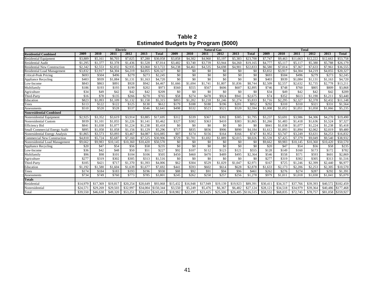**Table 2 Estimated Budgets by Program (\$000)** 

| Electric                            |          |          |          | <b>Natural Gas</b> |          |                    |          |          |          | <b>Total</b> |          |                     |          |          |          |          |          |                    |
|-------------------------------------|----------|----------|----------|--------------------|----------|--------------------|----------|----------|----------|--------------|----------|---------------------|----------|----------|----------|----------|----------|--------------------|
| <b>Residential Combined</b>         | 2009     | 2010     | 2011     | 2012               | 2013     | <b>Total</b>       | 2009     | 2010     | 2011     | 2012         | 2013     | <b>Total</b>        | 2009     | 2010     | 2011     | 2012     | 2013     | <b>Total</b>       |
| <b>Residential Equipment</b>        | \$3,889  | \$5,161  | \$6,703  | \$7,025            | \$7,280  | \$30,058           | \$3,858  | \$4,302  | \$4,960  | \$5,197      | \$5,383  | \$23,700            | \$7,747  | \$9,463  | \$11,663 | \$12,222 | \$12,663 | \$53,758           |
| Residential Audit                   | \$1.295  | \$1,377  | \$1,378  | \$1,436            | \$1,528  | \$7,014            | \$3,482  | \$3,740  | \$3,739  | \$3,944      | \$4,260  | \$19,165            | \$4,777  | \$5,11   | \$5,117  | \$5,380  | \$5,788  | \$26,179           |
| <b>Residential New Construction</b> | \$2,342  | \$2,553  | \$2,832  | \$2,935            | \$3,060  | \$13,722           | \$4,238  | \$4,46]  | \$4,535  | \$4,698      | \$4,901  | \$22,833            | \$6,580  | \$7,014  | \$7,367  | \$7,633  | \$7,961  | \$36,555           |
| <b>Residential Load Management</b>  | \$3,832  | \$3,917  | \$4,304  | \$4.219            | \$4,055  | \$20,327           | \$0      | \$0      | \$0      | \$0          | \$0      | \$0                 | \$3,832  | \$3,917  | \$4,304  | \$4.219  | \$4,055  | \$20,327           |
| <b>Critical-Peak Pricing</b>        | \$693    | \$504    | \$496    | \$279              | \$273    | \$2,245            | \$0      | \$0      | \$0      | \$0          | \$0      | \$0                 | \$693    | \$504    | \$496    | \$279    | \$273    | \$2,245            |
| <b>Appliance Recycling</b>          | \$403    | \$939    | \$1,084  | \$1,131            | \$1.163  | \$4,720            | \$0      | \$0      | \$0      | \$0          | \$0      | \$0                 | \$403    | \$939    | \$1,084  | \$1,131  | \$1,163  | \$4,720            |
| Low-Income                          | \$843    | \$863    | \$891    | \$928              | \$942    | \$4,46             | \$1,666  | \$1,694  | \$1,741  | \$1,807      | \$1.836  | \$8,744             | \$2,509  | \$2,557  | \$2,632  | \$2,735  | \$2,778  | \$13,211           |
| Multifamily                         | \$186    | \$193    | \$193    | \$199              | \$202    | \$973              | \$560    | \$555    | \$567    | \$606        | \$607    | \$2,895             | \$746    | \$748    | \$760    | \$805    | \$809    | \$3,868            |
| Agriculture                         | \$34     | \$49     | \$42     | \$42               | \$42     | \$209              | \$0      | \$0      | \$0      | \$0          | \$0      | \$0                 | \$34     | \$49     | \$42     | \$42     | \$42     | \$209              |
| Third-Party                         | \$16     | \$78     | \$135    | \$266              | \$270    | \$765              | \$58     | \$274    | \$478    | \$924        | \$941    | \$2,675             | \$74     | \$352    | \$613    | \$1,190  | \$1,211  | \$3,440            |
| Education                           | \$823    | \$1,093  | \$1,109  | \$1,132            | \$1,158  | \$5,315            | \$893    | \$1,202  | \$1,218  | \$1,246      | \$1,274  | \$5,833             | \$1,716  | \$2,295  | \$2,327  | \$2,378  | \$2,432  | \$11,148           |
| Trees                               | \$113    | \$122    | \$122    | \$125              | \$130    | \$612              | \$179    | \$188    | \$188    | \$196        | \$201    | \$952               | \$292    | \$310    | \$310    | \$321    | \$331    | \$1,564            |
| Assessments                         | \$510    | \$520    | \$528    | \$537              | \$546    | \$2,641            | \$498    | \$532    | \$523    | \$521        | \$520    | \$2,594             | \$1,008  | \$1,052  | \$1,051  | \$1,058  | \$1,066  | \$5,235            |
| <b>Nonresidential Combined</b>      |          |          |          |                    |          |                    |          |          |          |              |          |                     |          |          |          |          |          |                    |
| Nonresidential Equipment            | \$2,925  | \$3,352  | \$3,619  | \$3,914            | \$3,885  | \$17,695           | \$312    | \$339    | \$367    | \$392        | \$385    | \$1,795             | \$3,237  | \$3,69   | \$3,986  | \$4,306  | \$4,270  | \$19,490           |
| Nonresidential Custom               | \$939    | \$1,101  | \$1,055  | \$1,226            | \$1,141  | \$5,462            | \$327    | \$382    | \$363    | \$410        | \$383    | \$1,865             | \$1,266  | \$1,483  | \$1,418  | \$1,636  | \$1,524  | \$7,327            |
| <b>Efficiency Bid</b>               | \$841    | \$1,038  | \$1,077  | \$1,224            | \$1,238  | \$5,418            | \$0      | \$0      | \$0      | \$0          | \$0      | \$0                 | \$841    | \$1,038  | \$1,077  | \$1,224  | \$1,238  | \$5,418            |
| Small Commercial Energy Audit       | \$895    | \$1,058  | \$1,058  | \$1,156            | \$1,129  | \$5,296            | \$717    | \$835    | \$836    | \$906        | \$890    | \$4,184             | \$1,612  | \$1,893  | \$1,894  | \$2,062  | \$2,019  | \$9,480            |
| Nonresidential Energy Analysis      | \$1,865  | \$3,573  | \$3,093  | \$3,467            | \$4,087  | \$16,085           | \$87     | \$174    | \$156    | \$164        | \$166    | \$747               | \$1,952  | \$3,747  | \$3,249  | \$3,631  | \$4,253  | \$16,832           |
| <b>Commercial New Construction</b>  | \$4,810  | \$5,724  | \$5,687  | \$7,160            | \$7,525  | \$30,906           | \$729    | \$1,70   | \$1,692  | \$1,889      | \$2,015  | \$8,026             | \$5,539  | \$7,425  | \$7,379  | \$9,049  | \$9,540  | \$38,932           |
| Nonresidential Load Management      | \$9,662  | \$9,983  | \$10,145 | \$10,360           | \$10,420 | \$50,570           | \$0      | \$0      | \$0      | \$0          | \$0      | \$0                 | \$9,662  | \$9,983  | \$10,145 | \$10,360 | \$10,420 | \$50,570           |
| <b>Appliance Recycling</b>          | \$20     | \$47     | \$54     | \$56               | \$58     | \$235              | \$0      | \$0      | \$0      | \$0          | \$0      | \$0                 | \$20     | \$47     | \$54     | \$56     | \$58     | \$235              |
| Low-Income                          | \$36     | \$42     | \$48     | \$50               | \$51     | \$227              | \$92     | \$107    | \$112    | \$123        | \$121    | \$555               | \$128    | \$149    | \$160    | \$173    | \$172    | \$782              |
| Multifamily                         | \$96     | \$98     | \$101    | \$104              | \$106    | \$505              | \$450    | \$460    | \$470    | \$489        | \$495    | \$2,364             | \$546    | \$558    | \$571    | \$593    | \$601    | \$2,869            |
| Agriculture                         | \$277    | \$319    | \$302    | \$305              | \$313    | \$1,516            | \$0      | \$0      | \$0      | \$0          | \$0      | \$0                 | \$277    | \$319    | \$302    | \$305    | \$313    | \$1,516            |
| Third-Party                         | \$105    | \$421    | \$717    | \$1,370            | \$1,393  | \$4,006            | \$62     | \$304    | \$529    | \$1,029      | \$1,047  | \$2,971             | \$167    | \$725    | \$1,246  | \$2,399  | \$2,440  | \$6,977            |
| Education                           | \$1.192  | \$1,580  | \$1,604  | \$1,639            | \$1,677  | \$7,692            | \$441    | \$593    | \$602    | \$614        | \$628    | \$2,878             | \$1,633  | \$2,173  | \$2,206  | \$2,253  | \$2,305  | \$10,570           |
| Trees                               | \$174    | \$184    | \$183    | \$193              | \$196    | \$930              | \$88     | \$92     | \$91     | \$94         | \$96     | \$461               | \$262    | \$276    | \$274    | \$287    | \$292    | \$1,391            |
| Assessments                         | \$734    | \$749    | \$760    | \$773              | \$785    | \$3,801            | \$245    | \$262    | \$258    | \$257        | \$256    | \$1,278             | \$979    | \$1.01   | \$1,018  | \$1,030  | \$1,041  | \$5,079            |
| <b>Totals</b>                       |          |          |          |                    |          |                    |          |          |          |              |          |                     |          |          |          |          |          |                    |
| Residential                         | \$14,979 | \$17,369 | \$19,817 | \$20,254           | \$20,649 | \$93,068           | \$15,432 | \$16,948 | \$17,949 | \$19,139     | \$19,923 | \$89.39             | \$30.41  | \$34,317 | \$37,766 | \$39,393 |          | \$40,572 \$182,459 |
| Nonresidential                      | \$24,571 | \$29,269 | \$29,503 | \$32,99            | \$34,004 | \$150,344          | \$3,550  | \$5,249  | \$5,476  | \$6,367      | \$6,482  | \$27,124            | \$28,121 | \$34,518 | \$34,979 | \$39,364 | \$40,486 | \$177,468          |
| Total                               | \$39,550 | \$46,638 | \$49,320 | \$53,251           |          | \$54,653 \$243,412 | \$18,982 | \$22,197 | \$23,425 | \$25,506     |          | $$26,405$ \$116,515 | \$58,532 | \$68,835 | \$72,745 | \$78,757 |          | \$81,058 \$359,927 |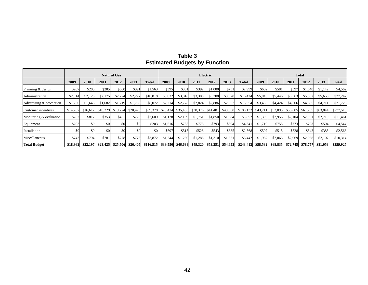|                         |         |                   |          | <b>Natural Gas</b> |          |                                                                        | Electric |          |          |          |          |                                | <b>Total</b> |          |          |          |                   |              |
|-------------------------|---------|-------------------|----------|--------------------|----------|------------------------------------------------------------------------|----------|----------|----------|----------|----------|--------------------------------|--------------|----------|----------|----------|-------------------|--------------|
|                         | 2009    | 2010              | 2011     | 2012               | 2013     | Total                                                                  | 2009     | 2010     | 2011     | 2012     | 2013     | Total                          | 2009         | 2010     | 2011     | 2012     | 2013              | <b>Total</b> |
| Planning & design       | \$207   | \$200             | \$205    | \$560              | \$391    | \$1,563                                                                | \$395    | \$381    | \$392    | \$1,080  | \$751    | \$2,999                        | \$602        | \$581    | \$597    | \$1,640  | \$1,142           | \$4,562      |
| Administration          | \$2,014 | \$2,128           | \$2,175  | \$2,224            | \$2,277  | \$10,818                                                               | \$3,032  | \$3,318  | \$3,388  | \$3,308  | \$3,378  | \$16,424                       | \$5,046      | \$5,446  | \$5,563  | \$5,532  | \$5,655           | \$27,242     |
| Advertising & promotion | \$1,266 | \$1,646           | \$1,682  | \$1,719            | \$1,759  | \$8,072                                                                | \$2,214  | \$2,778  | \$2,824  | \$2,886  | \$2,952  | \$13,654                       | \$3,480      | \$4,424  | \$4,506  | \$4,605  | \$4,711           | \$21,726     |
| Customer incentives     |         | \$14,287 \$16,612 | \$18,229 | \$19,774           | \$20,476 | \$89,378                                                               | \$29,424 | \$35,483 | \$38,376 | \$41,481 | \$43,368 | $$188,132$ $$43,711$           |              | \$52,095 | \$56,605 | \$61,255 | \$63,844          | \$277,510    |
| Monitoring & evaluation | \$262   | \$817             | \$353    | \$451              | \$726    | \$2,609                                                                | \$1,128  | \$2,139  | \$1,751  | \$1,850  | \$1,984  | \$8,852                        | \$1,390      | \$2,956  | \$2,104  | \$2,301  | \$2,710           | \$11,461     |
| Equipment               | \$203   | \$0               | \$0      | \$0                | \$0      | \$203                                                                  | \$1,516  | \$755    | \$773    | \$793    | \$504    | \$4,341                        | \$1,719      | \$755    | \$773    | \$793    | \$504             | \$4,544      |
| Installation            | \$0     | \$0               | \$0      | \$0                | \$0      | \$0                                                                    | \$597    | \$515    | \$528    | \$543    | \$385    | \$2,568                        | \$597        | \$515    | \$528    | \$543    | \$385             | \$2,568      |
| Miscellaneous           | \$743   | \$794             | \$781    | \$778              | \$776    | \$3,872                                                                | \$1,244  | \$1,269  | \$1,288  | \$1,310  | \$1,331  | \$6,442                        | \$1,987      | \$2,063  | \$2,069  | \$2,088  | \$2,107           | \$10,314     |
| <b>Total Budget</b>     |         | \$18,982 \$22,197 | \$23,425 | \$25,506           |          | $$26,405$ $$116,515$ $$39,550$ $$46,638$ $$49,320$ $$53,251$ $$54,653$ |          |          |          |          |          | $$243,412$ $$58,532$ $$68,835$ |              |          | \$72,745 |          | \$78,757 \$81,058 | \$359,927    |

# **Table 3 Estimated Budgets by Function**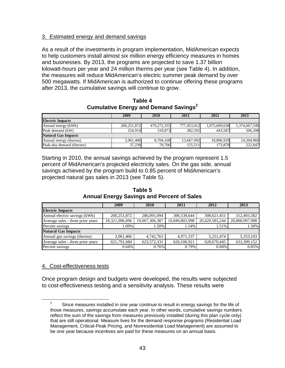# 3. Estimated energy and demand savings

As a result of the investments in program implementation, MidAmerican expects to help customers install almost six million energy efficiency measures in homes and businesses. By 2013, the programs are projected to save 1.37 billion kilowatt-hours per year and 24 million therms per year (see Table 4). In addition, the measures will reduce MidAmerican's electric summer peak demand by over 500 megawatts. If MidAmerican is authorized to continue offering these programs after 2013, the cumulative savings will continue to grow.

**Table 4 Cumulative Energy and Demand Savings<sup>2</sup>**

|                            | 2009          | 2010        | 2011        | 2012          | 2013          |
|----------------------------|---------------|-------------|-------------|---------------|---------------|
| <b>Electric Impacts</b>    |               |             |             |               |               |
| Annual energy (kWh)        | 200, 251, 872 | 479,272,355 | 777,453,412 | 1,075,609,638 | 1,374,667,540 |
| Peak demand (kW)           | 254.914       | 318,873     | 382,591     | 443.587       | 506,398       |
| <b>Natural Gas Impacts</b> |               |             |             |               |               |
| Annual energy (therms)     | 3.961.406     | 8.704.168   | 13,667,992  | 18,896,929    | 24,204,960    |
| Peak-day demand (therms)   | 37,238        | 79,706      | 125.511     | 173,878       | 222,847       |

Starting in 2010, the annual savings achieved by the program represent 1.5 percent of MidAmerican's projected electricity sales. On the gas side, annual savings achieved by the program build to 0.85 percent of MidAmerican's projected natural gas sales in 2013 (see Table 5).

|                                   | 2009           | 2010           | 2011           | 2012           | 2013           |
|-----------------------------------|----------------|----------------|----------------|----------------|----------------|
| <b>Electric Impacts</b>           |                |                |                |                |                |
| Annual electric savings (kWh)     | 200, 251, 872  | 286,091,094    | 306,539,644    | 308,621,451    | 312,493,582    |
| Average sales - three prior years | 18,321,096,696 | 19,067,306,387 | 19,849,803,998 | 20,429,583,244 | 20,800,997,908 |
| Percent savings                   | 1.09%          | 1.50%          | 1.54%          | 1.51%          | 1.50%          |
| <b>Natural Gas Impacts</b>        |                |                |                |                |                |
| Annual gas savings (therms)       | 3,961,406      | 4,742,763      | 4,971,337      | 5,251,474      | 5,353,103      |
| Average sales - three prior years | 621,791,684    | 623,572,331    | 626,100,921    | 628,670,445    | 631,309,152    |
| Percent savings                   | 0.64%          | 0.76%          | 0.79%          | 0.84%          | 0.85%          |

**Table 5 Annual Energy Savings and Percent of Sales** 

# 4. Cost-effectiveness tests

Once program design and budgets were developed, the results were subjected to cost-effectiveness testing and a sensitivity analysis. These results were

 $\overline{a}$  $\frac{2}{3}$  Since measures installed in one year continue to result in energy savings for the life of those measures, savings accumulate each year. In other words, cumulative savings numbers reflect the sum of the savings from measures previously installed (during this plan cycle only) that are still operational. Measure lives for the demand response programs (Residential Load Management, Critical-Peak Pricing, and Nonresidential Load Management) are assumed to be one year because incentives are paid for these measures on an annual basis.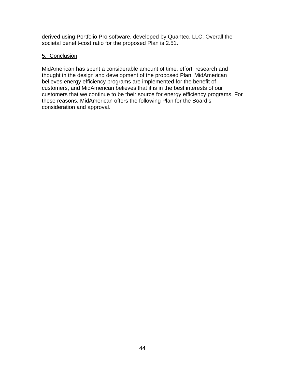derived using Portfolio Pro software, developed by Quantec, LLC. Overall the societal benefit-cost ratio for the proposed Plan is 2.51.

# 5. Conclusion

MidAmerican has spent a considerable amount of time, effort, research and thought in the design and development of the proposed Plan. MidAmerican believes energy efficiency programs are implemented for the benefit of customers, and MidAmerican believes that it is in the best interests of our customers that we continue to be their source for energy efficiency programs. For these reasons, MidAmerican offers the following Plan for the Board's consideration and approval.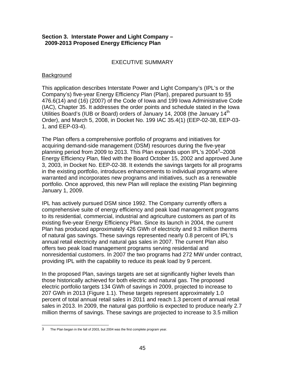#### **Section 3. Interstate Power and Light Company – 2009-2013 Proposed Energy Efficiency Plan**

### EXECUTIVE SUMMARY

#### **Background**

This application describes Interstate Power and Light Company's (IPL's or the Company's) five-year Energy Efficiency Plan (Plan), prepared pursuant to §§ 476.6(14) and (16) (2007) of the Code of Iowa and 199 Iowa Administrative Code (IAC), Chapter 35. It addresses the order points and schedule stated in the Iowa Utilities Board's (IUB or Board) orders of January 14, 2008 (the January 14<sup>th</sup> Order), and March 5, 2008, in Docket No. 199 IAC 35.4(1) (EEP-02-38, EEP-03- 1, and EEP-03-4).

The Plan offers a comprehensive portfolio of programs and initiatives for acquiring demand-side management (DSM) resources during the five-year planning period from 2009 to 2013. This Plan expands upon IPL's 2004<sup>3</sup>-2008 Energy Efficiency Plan, filed with the Board October 15, 2002 and approved June 3, 2003, in Docket No. EEP-02-38. It extends the savings targets for all programs in the existing portfolio, introduces enhancements to individual programs where warranted and incorporates new programs and initiatives, such as a renewable portfolio. Once approved, this new Plan will replace the existing Plan beginning January 1, 2009.

IPL has actively pursued DSM since 1992. The Company currently offers a comprehensive suite of energy efficiency and peak load management programs to its residential, commercial, industrial and agriculture customers as part of its existing five-year Energy Efficiency Plan. Since its launch in 2004, the current Plan has produced approximately 426 GWh of electricity and 9.3 million therms of natural gas savings. These savings represented nearly 0.8 percent of IPL's annual retail electricity and natural gas sales in 2007. The current Plan also offers two peak load management programs serving residential and nonresidential customers. In 2007 the two programs had 272 MW under contract, providing IPL with the capability to reduce its peak load by 9 percent.

In the proposed Plan, savings targets are set at significantly higher levels than those historically achieved for both electric and natural gas. The proposed electric portfolio targets 134 GWh of savings in 2009, projected to increase to 207 GWh in 2013 (Figure 1.1). These targets represent approximately 1.0 percent of total annual retail sales in 2011 and reach 1.3 percent of annual retail sales in 2013. In 2009, the natural gas portfolio is expected to produce nearly 2.7 million therms of savings. These savings are projected to increase to 3.5 million

 3 The Plan began in the fall of 2003, but 2004 was the first complete program year.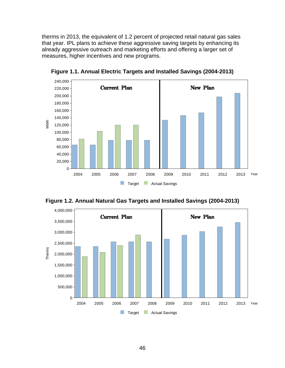therms in 2013, the equivalent of 1.2 percent of projected retail natural gas sales that year. IPL plans to achieve these aggressive saving targets by enhancing its already aggressive outreach and marketing efforts and offering a larger set of measures, higher incentives and new programs.



**Figure 1.1. Annual Electric Targets and Installed Savings (2004-2013)** 



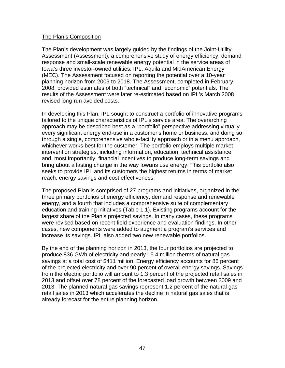#### The Plan's Composition

The Plan's development was largely guided by the findings of the Joint-Utility Assessment (Assessment), a comprehensive study of energy efficiency, demand response and small-scale renewable energy potential in the service areas of Iowa's three investor-owned utilities: IPL, Aquila and MidAmerican Energy (MEC). The Assessment focused on reporting the potential over a 10-year planning horizon from 2009 to 2018. The Assessment, completed in February 2008, provided estimates of both "technical" and "economic" potentials. The results of the Assessment were later re-estimated based on IPL's March 2008 revised long-run avoided costs.

In developing this Plan, IPL sought to construct a portfolio of innovative programs tailored to the unique characteristics of IPL's service area. The overarching approach may be described best as a "portfolio" perspective addressing virtually every significant energy end-use in a customer's home or business, and doing so through a single, comprehensive whole-facility approach or in a menu approach, whichever works best for the customer. The portfolio employs multiple market intervention strategies, including information, education, technical assistance and, most importantly, financial incentives to produce long-term savings and bring about a lasting change in the way Iowans use energy. This portfolio also seeks to provide IPL and its customers the highest returns in terms of market reach, energy savings and cost effectiveness.

The proposed Plan is comprised of 27 programs and initiatives, organized in the three primary portfolios of energy efficiency, demand response and renewable energy, and a fourth that includes a comprehensive suite of complementary education and training initiatives (Table 1.1). Existing programs account for the largest share of the Plan's projected savings. In many cases, these programs were revised based on recent field experience and evaluation findings. In other cases, new components were added to augment a program's services and increase its savings. IPL also added two new renewable portfolios.

By the end of the planning horizon in 2013, the four portfolios are projected to produce 836 GWh of electricity and nearly 15.4 million therms of natural gas savings at a total cost of \$411 million. Energy efficiency accounts for 86 percent of the projected electricity and over 90 percent of overall energy savings. Savings from the electric portfolio will amount to 1.3 percent of the projected retail sales in 2013 and offset over 78 percent of the forecasted load growth between 2009 and 2013. The planned natural gas savings represent 1.2 percent of the natural gas retail sales in 2013 which accelerates the decline in natural gas sales that is already forecast for the entire planning horizon.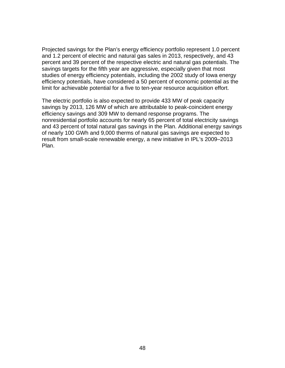Projected savings for the Plan's energy efficiency portfolio represent 1.0 percent and 1.2 percent of electric and natural gas sales in 2013, respectively, and 43 percent and 39 percent of the respective electric and natural gas potentials. The savings targets for the fifth year are aggressive, especially given that most studies of energy efficiency potentials, including the 2002 study of Iowa energy efficiency potentials, have considered a 50 percent of economic potential as the limit for achievable potential for a five to ten-year resource acquisition effort.

The electric portfolio is also expected to provide 433 MW of peak capacity savings by 2013, 126 MW of which are attributable to peak-coincident energy efficiency savings and 309 MW to demand response programs. The nonresidential portfolio accounts for nearly 65 percent of total electricity savings and 43 percent of total natural gas savings in the Plan. Additional energy savings of nearly 100 GWh and 9,000 therms of natural gas savings are expected to result from small-scale renewable energy, a new initiative in IPL's 2009–2013 Plan.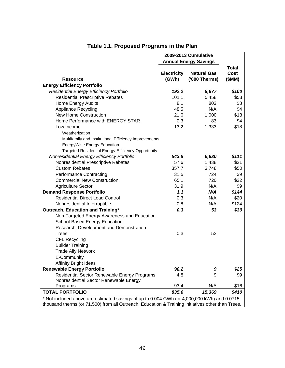|                                                           | 2009-2013 Cumulative        |                                     |                                       |  |  |
|-----------------------------------------------------------|-----------------------------|-------------------------------------|---------------------------------------|--|--|
|                                                           |                             | <b>Annual Energy Savings</b>        |                                       |  |  |
| <b>Resource</b>                                           | <b>Electricity</b><br>(GWh) | <b>Natural Gas</b><br>('000 Therms) | <b>Total</b><br><b>Cost</b><br>(\$MM) |  |  |
| <b>Energy Efficiency Portfolio</b>                        |                             |                                     |                                       |  |  |
| Residential Energy Efficiency Portfolio                   | 192.2                       | 8,677                               | \$100                                 |  |  |
| <b>Residential Prescriptive Rebates</b>                   | 101.1                       | 5,458                               | \$53                                  |  |  |
| Home Energy Audits                                        | 8.1                         | 803                                 | \$8                                   |  |  |
| <b>Appliance Recycling</b>                                | 48.5                        | N/A                                 | \$4                                   |  |  |
| <b>New Home Construction</b>                              | 21.0                        | 1,000                               | \$13                                  |  |  |
| Home Performance with ENERGY STAR                         | 0.3                         | 83                                  | \$4                                   |  |  |
| Low Income                                                | 13.2                        | 1,333                               | \$18                                  |  |  |
| Weatherization                                            |                             |                                     |                                       |  |  |
| Multifamily and Institutional Efficiency Improvements     |                             |                                     |                                       |  |  |
| EnergyWise Energy Education                               |                             |                                     |                                       |  |  |
| <b>Targeted Residential Energy Efficiency Opportunity</b> |                             |                                     |                                       |  |  |
| Nonresidential Energy Efficiency Portfolio                | 543.8                       | 6,630                               | \$111                                 |  |  |
| Nonresidential Prescriptive Rebates                       | 57.6                        | 1,438                               | \$21                                  |  |  |
| <b>Custom Rebates</b>                                     | 357.7                       | 3,748                               | \$50                                  |  |  |
| <b>Performance Contracting</b>                            | 31.5                        | 724                                 | \$9                                   |  |  |
| <b>Commercial New Construction</b>                        | 65.1                        | 720                                 | \$22                                  |  |  |
| <b>Agriculture Sector</b>                                 | 31.9                        | N/A                                 | \$9                                   |  |  |
| <b>Demand Response Portfolio</b>                          | 1.1                         | N/A                                 | \$144                                 |  |  |
| <b>Residential Direct Load Control</b>                    | 0.3                         | N/A                                 | \$20                                  |  |  |
| Nonresidential Interruptible                              | 0.8                         | N/A                                 | \$124                                 |  |  |
| Outreach, Education and Training*                         | 0.3                         | 53                                  | \$30                                  |  |  |
| Non-Targeted Energy Awareness and Education               |                             |                                     |                                       |  |  |
| School-Based Energy Education                             |                             |                                     |                                       |  |  |
| Research, Development and Demonstration                   |                             |                                     |                                       |  |  |
| <b>Trees</b>                                              | 0.3                         | 53                                  |                                       |  |  |
| <b>CFL Recycling</b>                                      |                             |                                     |                                       |  |  |
| <b>Builder Training</b>                                   |                             |                                     |                                       |  |  |
| <b>Trade Ally Network</b>                                 |                             |                                     |                                       |  |  |
| E-Community                                               |                             |                                     |                                       |  |  |
| <b>Affinity Bright Ideas</b>                              |                             |                                     |                                       |  |  |
| <b>Renewable Energy Portfolio</b>                         | 98.2                        | 9                                   | \$25                                  |  |  |
| Residential Sector Renewable Energy Programs              | 4.8                         | 9                                   | \$9                                   |  |  |
| Nonresidential Sector Renewable Energy                    |                             |                                     |                                       |  |  |
| Programs                                                  | 93.4                        | N/A                                 | \$16                                  |  |  |
| <b>TOTAL PORTFOLIO</b>                                    | 835.6                       | 15,369                              | \$410                                 |  |  |

# **Table 1.1. Proposed Programs in the Plan**

\* Not included above are estimated savings of up to 0.004 GWh (or 4,000,000 kWh) and 0.0715 thousand therms (or 71,500) from all Outreach, Education & Training initiatives other than Trees.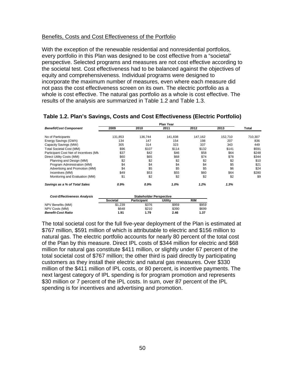#### Benefits, Costs and Cost Effectiveness of the Portfolio

With the exception of the renewable residential and nonresidential portfolios, every portfolio in this Plan was designed to be cost effective from a "societal" perspective. Selected programs and measures are not cost effective according to the societal test. Cost effectiveness had to be balanced against the objectives of equity and comprehensiveness. Individual programs were designed to incorporate the maximum number of measures, even where each measure did not pass the cost effectiveness screen on its own. The electric portfolio as a whole is cost effective. The natural gas portfolio as a whole is cost effective. The results of the analysis are summarized in Table 1.2 and Table 1.3.

|                                        | <b>Plan Year</b> |                                |         |            |         |         |  |  |
|----------------------------------------|------------------|--------------------------------|---------|------------|---------|---------|--|--|
| <b>Benefit/Cost Component</b>          | 2009             | 2010                           | 2011    | 2012       | 2013    | Total   |  |  |
| No of Participants                     | 131,853          | 136,744                        | 141,838 | 147,162    | 152,710 | 710,307 |  |  |
| Energy Savings (GWh)                   | 134              | 147                            | 154     | 198        | 207     | 836     |  |  |
| Capacity Savings (MW)                  | 305              | 314                            | 323     | 337        | 343     | 449     |  |  |
| <b>Total Societal Cost (MM)</b>        | \$96             | \$107                          | \$114   | \$132      | \$141   | \$591   |  |  |
| Participant Cost Net of Incentives (MN | \$37             | \$42                           | \$46    | \$58       | \$64    | \$248   |  |  |
| Direct Utility Costs (MM)              | \$60             | \$65                           | \$68    | \$74       | \$78    | \$344   |  |  |
| Planning and Design (MM)               | \$2              | \$2                            | \$2     | \$2        | \$2     | \$10    |  |  |
| Program Administration (MM)            | \$4              | \$4                            | \$4     | \$4        | \$5     | \$21    |  |  |
| Advertising and Promotion (MM)         | \$4              | \$5                            | \$5     | \$5        | \$6     | \$24    |  |  |
| Incentives (MM)                        | \$49             | \$53                           | \$55    | \$60       | \$64    | \$280   |  |  |
| Monitoring and Evaluation (MM)         | \$1              | \$2                            | \$2     | \$2        | \$2     | \$9     |  |  |
| Savings as a % of Total Sales          | 0.9%             | $0.9\%$                        | $1.0\%$ | 1.2%       | 1.3%    |         |  |  |
| <b>Cost-Effectiveness Analysis</b>     |                  | <b>Stakeholder Perspective</b> |         |            |         |         |  |  |
|                                        | <b>Societal</b>  | Participant                    | Utility | <b>RIM</b> |         |         |  |  |
| NPV Benefits (MM)                      | \$1,239          | \$376                          | \$959   | \$959      |         |         |  |  |
| NPV Costs (MM)                         | \$648            | \$210                          | \$390   | \$699      |         |         |  |  |
| <b>Benefit-Cost Ratio</b>              | 1.91             | 1.79                           | 2.46    | 1.37       |         |         |  |  |

#### **Table 1.2. Plan's Savings, Costs and Cost Effectiveness (Electric Portfolio)**

The total societal cost for the full five-year deployment of the Plan is estimated at \$767 million, \$591 million of which is attributable to electric and \$156 million to natural gas. The electric portfolio accounts for nearly 80 percent of the total cost of the Plan by this measure. Direct IPL costs of \$344 million for electric and \$68 million for natural gas constitute \$411 million, or slightly under 67 percent of the total societal cost of \$767 million; the other third is paid directly by participating customers as they install their electric and natural gas measures. Over \$330 million of the \$411 million of IPL costs, or 80 percent, is incentive payments. The next largest category of IPL spending is for program promotion and represents \$30 million or 7 percent of the IPL costs. In sum, over 87 percent of the IPL spending is for incentives and advertising and promotion.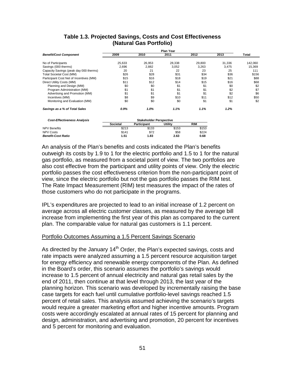|                                                                            | <b>Plan Year</b> |                 |                 |                 |                 |                   |  |  |
|----------------------------------------------------------------------------|------------------|-----------------|-----------------|-----------------|-----------------|-------------------|--|--|
| <b>Benefit/Cost Component</b>                                              | 2009             | 2010            | 2011            | 2012            | 2013            | Total             |  |  |
| No of Participants<br>Savings (000 therms)                                 | 25,633<br>2.696  | 26,953<br>2,882 | 28,338<br>3.052 | 29,800<br>3.263 | 31,336<br>3.475 | 142,060<br>15.369 |  |  |
| Capacity Savings (peak day 000 therms)                                     | 20               | 21              | 22              | 23              | 25              | 111               |  |  |
| <b>Total Societal Cost (MM)</b><br>Participant Cost Net of Incentives (MM) | \$26<br>\$15     | \$28<br>\$16    | \$31<br>\$18    | \$34<br>\$19    | \$36<br>\$21    | \$156<br>\$88     |  |  |
| Direct Utility Costs (MM)                                                  | \$11             | \$12            | \$14            | \$15            | \$16            | \$68              |  |  |
| Planning and Design (MM)                                                   | \$0              | \$0             | \$1             | \$1             | \$0             | \$2               |  |  |
| Program Administration (MM)<br>Advertising and Promotion (MM)              | \$1<br>\$1       | \$1<br>\$1      | \$1<br>\$1      | \$1<br>\$1      | \$2<br>\$2      | \$7<br>\$6        |  |  |
| Incentives (MM)                                                            | \$8              | \$9             | \$10            | \$11            | \$12            | \$50              |  |  |
| Monitoring and Evaluation (MM)                                             | \$0              | \$0             | \$0             | \$1             | \$1             | \$2               |  |  |
| Savings as a % of Total Sales                                              | 0.9%             | 1.0%            | 1.1%            | 1.1%            | 1.2%            |                   |  |  |

# **Table 1.3. Projected Savings, Costs and Cost Effectiveness (Natural Gas Portfolio)**

| <b>Cost-Effectiveness Analysis</b> | <b>Stakeholder Perspective</b> |                    |         |            |  |  |  |  |
|------------------------------------|--------------------------------|--------------------|---------|------------|--|--|--|--|
|                                    | Societal                       | <b>Participant</b> | Utility | <b>RIM</b> |  |  |  |  |
| <b>NPV Benefits</b>                | \$213                          | \$133              | \$153   | \$153      |  |  |  |  |
| <b>NPV Costs</b>                   | \$141                          | \$72               | \$58    | \$224      |  |  |  |  |
| <b>Benefit-Cost Ratio</b>          | 1.51                           | 1.83               | 2.63    | 0.68       |  |  |  |  |

An analysis of the Plan's benefits and costs indicated the Plan's benefits outweigh its costs by 1.9 to 1 for the electric portfolio and 1.5 to 1 for the natural gas portfolio, as measured from a societal point of view. The two portfolios are also cost effective from the participant and utility points of view. Only the electric portfolio passes the cost effectiveness criterion from the non-participant point of view, since the electric portfolio but not the gas portfolio passes the RIM test. The Rate Impact Measurement (RIM) test measures the impact of the rates of those customers who do not participate in the programs.

IPL's expenditures are projected to lead to an initial increase of 1.2 percent on average across all electric customer classes, as measured by the average bill increase from implementing the first year of this plan as compared to the current plan. The comparable value for natural gas customers is 1.1 percent.

#### Portfolio Outcomes Assuming a 1.5 Percent Savings Scenario

As directed by the January 14<sup>th</sup> Order, the Plan's expected savings, costs and rate impacts were analyzed assuming a 1.5 percent resource acquisition target for energy efficiency and renewable energy components of the Plan. As defined in the Board's order, this scenario assumes the portfolio's savings would increase to 1.5 percent of annual electricity and natural gas retail sales by the end of 2011, then continue at that level through 2013, the last year of the planning horizon. This scenario was developed by incrementally raising the base case targets for each fuel until cumulative portfolio-level savings reached 1.5 percent of retail sales. This analysis assumed achieving the scenario's targets would require a greater marketing effort and higher incentive amounts. Program costs were accordingly escalated at annual rates of 15 percent for planning and design, administration, and advertising and promotion, 20 percent for incentives and 5 percent for monitoring and evaluation.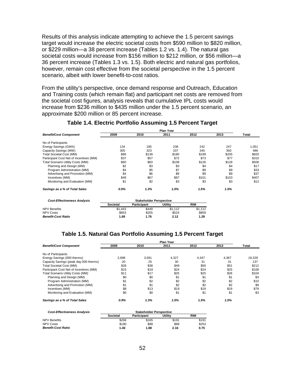Results of this analysis indicate attempting to achieve the 1.5 percent savings target would increase the electric societal costs from \$590 million to \$820 million, or \$229 million—a 38 percent increase (Tables 1.2 vs. 1.4). The natural gas societal costs would increase from \$156 million to \$212 million, or \$56 million—a 36 percent increase (Tables 1.3 vs. 1.5). Both electric and natural gas portfolios, however, remain cost effective from the societal perspective in the 1.5 percent scenario, albeit with lower benefit-to-cost ratios.

From the utility's perspective, once demand response and Outreach, Education and Training costs (which remain flat) and participant net costs are removed from the societal cost figures, analysis reveals that cumulative IPL costs would increase from \$236 million to \$435 million under the 1.5 percent scenario, an approximate \$200 million or 85 percent increase.

|                                          | <b>Plan Year</b> |                                |         |            |       |       |  |  |
|------------------------------------------|------------------|--------------------------------|---------|------------|-------|-------|--|--|
| <b>Benefit/Cost Component</b>            | 2009             | 2010                           | 2011    | 2012       | 2013  | Total |  |  |
| No of Participants                       |                  |                                |         |            |       |       |  |  |
| Energy Savings (GWh)                     | 134              | 195                            | 238     | 242        | 247   | 1,051 |  |  |
| Capacity Savings (MW)                    | 305              | 323                            | 337     | 345        | 350   | 486   |  |  |
| <b>Total Societal Cost (MM)</b>          | \$96             | \$139                          | \$180   | \$199      | \$205 | \$820 |  |  |
| Participant Cost Net of Incentives (MM)  | \$37             | \$57                           | \$72    | \$73       | \$77  | \$315 |  |  |
| <b>Total Scenario Utility Costs (MM)</b> | \$60             | \$83                           | \$108   | \$126      | \$128 | \$506 |  |  |
| Planning and Design (MM)                 | \$2              | \$3                            | \$3     | \$4        | \$4   | \$17  |  |  |
| Program Administration (MM)              | \$4              | \$5                            | \$7     | \$9        | \$9   | \$33  |  |  |
| Advertising and Promotion (MM)           | \$4              | \$6                            | \$9     | \$9        | \$9   | \$37  |  |  |
| Incentives (MM)                          | \$49             | \$67                           | \$87    | \$101      | \$103 | \$407 |  |  |
| Monitoring and Evaluation (MM)           | \$1              | \$2                            | \$3     | \$3        | \$3   | \$12  |  |  |
| Savings as a % of Total Sales            | 0.9%             | 1.3%                           | 1.5%    | 1.5%       | 1.5%  |       |  |  |
| <b>Cost-Effectiveness Analysis</b>       |                  | <b>Stakeholder Perspective</b> |         |            |       |       |  |  |
|                                          | <b>Societal</b>  | <b>Participant</b>             | Utility | <b>RIM</b> |       |       |  |  |
| <b>NPV Benefits</b>                      | \$1,443          | \$449                          | \$1,112 | \$1,112    |       |       |  |  |
| <b>NPV Costs</b>                         | \$853            | \$255                          | \$524   | \$859      |       |       |  |  |
| <b>Benefit-Cost Ratio</b>                | 1.69             | 1.76                           | 2.12    | 1.29       |       |       |  |  |

# **Table 1.4. Electric Portfolio Assuming 1.5 Percent Target**

#### **Table 1.5. Natural Gas Portfolio Assuming 1.5 Percent Target**

| <b>Benefit/Cost Component</b>            | 2009  | 2010  | 2011  | 2012  | 2013  | Total  |
|------------------------------------------|-------|-------|-------|-------|-------|--------|
| No of Participants                       |       |       |       |       |       |        |
| Energy Savings (000 therms)              | 2,696 | 3,591 | 4,327 | 4,347 | 4,367 | 19,329 |
| Capacity Savings (peak day 000 therms)   | 20    | 25    | 30    | 31    | 31    | 137    |
| <b>Total Societal Cost (MM)</b>          | \$26  | \$36  | \$49  | \$50  | \$51  | \$212  |
| Participant Cost Net of Incentives (MM)  | \$15  | \$19  | \$24  | \$24  | \$25  | \$108  |
| <b>Total Scenario Utility Costs (MM)</b> | \$11  | \$17  | \$25  | \$25  | \$26  | \$104  |
| Planning and Design (MM)                 | \$0   | \$0   | \$1   | \$1   | \$1   | \$3    |
| Program Administration (MM)              | \$1   | \$2   | \$2   | \$2   | \$2   | \$10   |
| Advertising and Promotion (MM)           | \$1   | \$1   | \$2   | \$2   | \$2   | \$9    |
| Incentives (MM)                          | \$8   | \$13  | \$19  | \$19  | \$19  | \$79   |
| Monitoring and Evaluation (MM)           | \$0   | \$0   | \$1   | \$1   | \$1   | \$3    |
| Savings as a % of Total Sales            | 0.9%  | 1.3%  | 1.5%  | 1.5%  | 1.5%  |        |

| <b>Cost-Effectiveness Analysis</b> | <b>Stakeholder Perspective</b> |             |         |            |  |  |  |  |
|------------------------------------|--------------------------------|-------------|---------|------------|--|--|--|--|
|                                    | <b>Societal</b>                | Participant | Utility | <b>RIM</b> |  |  |  |  |
| NPV Benefits                       | \$266                          | \$165       | \$191   | \$191      |  |  |  |  |
| NPV Costs                          | \$190                          | \$88        | \$88    | \$253      |  |  |  |  |
| <b>Benefit-Cost Ratio</b>          | 1.40                           | 1.88        | 2.16    | 0.75       |  |  |  |  |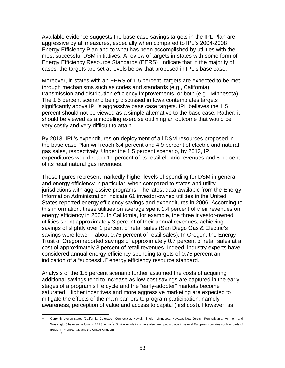Available evidence suggests the base case savings targets in the IPL Plan are aggressive by all measures, especially when compared to IPL's 2004-2008 Energy Efficiency Plan and to what has been accomplished by utilities with the most successful DSM initiatives. A review of targets in states with some form of Energy Efficiency Resource Standards (EERS)<sup>4</sup> indicate that in the majority of cases, the targets are set at levels below that proposed in IPL's base case.

Moreover, in states with an EERS of 1.5 percent, targets are expected to be met through mechanisms such as codes and standards (e.g., California), transmission and distribution efficiency improvements, or both (e.g., Minnesota). The 1.5 percent scenario being discussed in Iowa contemplates targets significantly above IPL's aggressive base case targets. IPL believes the 1.5 percent should not be viewed as a simple alternative to the base case. Rather, it should be viewed as a modeling exercise outlining an outcome that would be very costly and very difficult to attain.

By 2013, IPL's expenditures on deployment of all DSM resources proposed in the base case Plan will reach 6.4 percent and 4.9 percent of electric and natural gas sales, respectively. Under the 1.5 percent scenario, by 2013, IPL expenditures would reach 11 percent of its retail electric revenues and 8 percent of its retail natural gas revenues.

These figures represent markedly higher levels of spending for DSM in general and energy efficiency in particular, when compared to states and utility jurisdictions with aggressive programs. The latest data available from the Energy Information Administration indicate 61 investor-owned utilities in the United States reported energy efficiency savings and expenditures in 2006. According to this information, these utilities on average spent 1.4 percent of their revenues on energy efficiency in 2006. In California, for example, the three investor-owned utilities spent approximately 3 percent of their annual revenues, achieving savings of slightly over 1 percent of retail sales (San Diego Gas & Electric's savings were lower—about 0.75 percent of retail sales). In Oregon, the Energy Trust of Oregon reported savings of approximately 0.7 percent of retail sales at a cost of approximately 3 percent of retail revenues. Indeed, industry experts have considered annual energy efficiency spending targets of 0.75 percent an indication of a "successful" energy efficiency resource standard.

Analysis of the 1.5 percent scenario further assumed the costs of acquiring additional savings tend to increase as low-cost savings are captured in the early stages of a program's life cycle and the "early-adopter" markets become saturated. Higher incentives and more aggressive marketing are expected to mitigate the effects of the main barriers to program participation, namely awareness, perception of value and access to capital (first cost). However, as

 $\overline{a}$ 

<sup>4</sup> Currently eleven states (California, Colorado, Connecticut, Hawaii, Illinois, Minnesota, Nevada, New Jersey, Pennsylvania, Vermont and Washington) have some form of EERS in place. Similar regulations have also been put in place in several European countries such as parts of Belgium, France, Italy and the United Kingdom.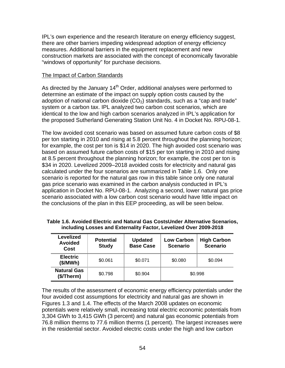IPL's own experience and the research literature on energy efficiency suggest, there are other barriers impeding widespread adoption of energy efficiency measures. Additional barriers in the equipment replacement and new construction markets are associated with the concept of economically favorable "windows of opportunity" for purchase decisions.

#### The Impact of Carbon Standards

As directed by the January  $14<sup>th</sup>$  Order, additional analyses were performed to determine an estimate of the impact on supply option costs caused by the adoption of national carbon dioxide  $(CO<sub>2</sub>)$  standards, such as a "cap and trade" system or a carbon tax. IPL analyzed two carbon cost scenarios, which are identical to the low and high carbon scenarios analyzed in IPL's application for the proposed Sutherland Generating Station Unit No. 4 in Docket No. RPU-08-1.

The low avoided cost scenario was based on assumed future carbon costs of \$8 per ton starting in 2010 and rising at 5.8 percent throughout the planning horizon; for example, the cost per ton is \$14 in 2020. The high avoided cost scenario was based on assumed future carbon costs of \$15 per ton starting in 2010 and rising at 8.5 percent throughout the planning horizon; for example, the cost per ton is \$34 in 2020. Levelized 2009–2018 avoided costs for electricity and natural gas calculated under the four scenarios are summarized in Table 1.6. Only one scenario is reported for the natural gas row in this table since only one natural gas price scenario was examined in the carbon analysis conducted in IPL's application in Docket No. RPU-08-1. Analyzing a second, lower natural gas price scenario associated with a low carbon cost scenario would have little impact on the conclusions of the plan in this EEP proceeding, as will be seen below.

| Levelized<br><b>Avoided</b><br>Cost | <b>Potential</b><br><b>Study</b> | <b>Updated</b><br><b>Base Case</b> | <b>Low Carbon</b><br><b>Scenario</b> | <b>High Carbon</b><br><b>Scenario</b> |
|-------------------------------------|----------------------------------|------------------------------------|--------------------------------------|---------------------------------------|
| <b>Electric</b><br>(\$/MWh)         | \$0.061                          | \$0.071                            | \$0.080                              | \$0.094                               |
| <b>Natural Gas</b><br>(\$/Therm)    | \$0.798                          | \$0.904                            |                                      | \$0.998                               |

**Table 1.6. Avoided Electric and Natural Gas CostsUnder Alternative Scenarios, including Losses and Externality Factor, Levelized Over 2009-2018** 

The results of the assessment of economic energy efficiency potentials under the four avoided cost assumptions for electricity and natural gas are shown in Figures 1.3 and 1.4. The effects of the March 2008 updates on economic potentials were relatively small, increasing total electric economic potentials from 3,304 GWh to 3,415 GWh (3 percent) and natural gas economic potentials from 76.8 million therms to 77.6 million therms (1 percent). The largest increases were in the residential sector. Avoided electric costs under the high and low carbon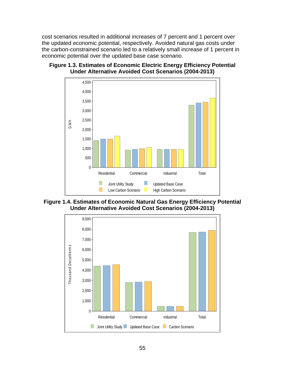cost scenarios resulted in additional increases of 7 percent and 1 percent over the updated economic potential, respectively. Avoided natural gas costs under the carbon-constrained scenario led to a relatively small increase of 1 percent in economic potential over the updated base case scenario.



# **Figure 1.3. Estimates of Economic Electric Energy Efficiency Potential Under Alternative Avoided Cost Scenarios (2004-2013)**

**Figure 1.4. Estimates of Economic Natural Gas Energy Efficiency Potential Under Alternative Avoided Cost Scenarios (2004-2013)** 

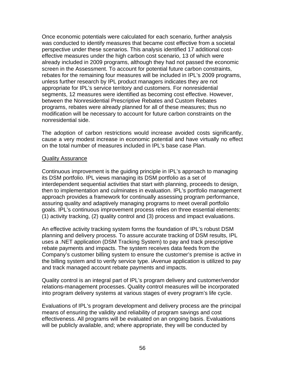Once economic potentials were calculated for each scenario, further analysis was conducted to identify measures that became cost effective from a societal perspective under these scenarios. This analysis identified 17 additional costeffective measures under the high carbon cost scenario, 13 of which were already included in 2009 programs, although they had not passed the economic screen in the Assessment. To account for potential future carbon constraints, rebates for the remaining four measures will be included in IPL's 2009 programs, unless further research by IPL product managers indicates they are not appropriate for IPL's service territory and customers. For nonresidential segments, 12 measures were identified as becoming cost effective. However, between the Nonresidential Prescriptive Rebates and Custom Rebates programs, rebates were already planned for all of these measures; thus no modification will be necessary to account for future carbon constraints on the nonresidential side.

The adoption of carbon restrictions would increase avoided costs significantly, cause a very modest increase in economic potential and have virtually no effect on the total number of measures included in IPL's base case Plan.

#### Quality Assurance

Continuous improvement is the guiding principle in IPL's approach to managing its DSM portfolio. IPL views managing its DSM portfolio as a set of interdependent sequential activities that start with planning, proceeds to design, then to implementation and culminates in evaluation. IPL's portfolio management approach provides a framework for continually assessing program performance, assuring quality and adaptively managing programs to meet overall portfolio goals. IPL's continuous improvement process relies on three essential elements: (1) activity tracking, (2) quality control and (3) process and impact evaluations.

An effective activity tracking system forms the foundation of IPL's robust DSM planning and delivery process. To assure accurate tracking of DSM results, IPL uses a .NET application (DSM Tracking System) to pay and track prescriptive rebate payments and impacts. The system receives data feeds from the Company's customer billing system to ensure the customer's premise is active in the billing system and to verify service type. iAvenue application is utilized to pay and track managed account rebate payments and impacts.

Quality control is an integral part of IPL's program delivery and customer/vendor relations-management processes. Quality control measures will be incorporated into program delivery systems at various stages of every program's life cycle.

Evaluations of IPL's program development and delivery process are the principal means of ensuring the validity and reliability of program savings and cost effectiveness. All programs will be evaluated on an ongoing basis. Evaluations will be publicly available, and; where appropriate, they will be conducted by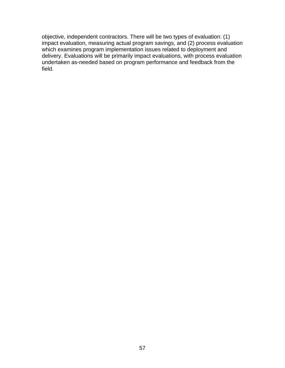objective, independent contractors. There will be two types of evaluation: (1) impact evaluation, measuring actual program savings, and (2) process evaluation which examines program implementation issues related to deployment and delivery. Evaluations will be primarily impact evaluations, with process evaluation undertaken as-needed based on program performance and feedback from the field.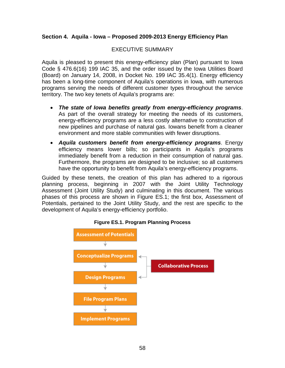# **Section 4. Aquila - Iowa – Proposed 2009-2013 Energy Efficiency Plan**

# EXECUTIVE SUMMARY

Aquila is pleased to present this energy-efficiency plan (Plan) pursuant to Iowa Code § 476.6(16) 199 IAC 35, and the order issued by the Iowa Utilities Board (Board) on January 14, 2008, in Docket No. 199 IAC 35.4(1). Energy efficiency has been a long-time component of Aquila's operations in Iowa, with numerous programs serving the needs of different customer types throughout the service territory. The two key tenets of Aquila's programs are:

- *The state of Iowa benefits greatly from energy-efficiency programs*. As part of the overall strategy for meeting the needs of its customers, energy-efficiency programs are a less costly alternative to construction of new pipelines and purchase of natural gas. Iowans benefit from a cleaner environment and more stable communities with fewer disruptions.
- *Aquila customers benefit from energy-efficiency programs*. Energy efficiency means lower bills; so participants in Aquila's programs immediately benefit from a reduction in their consumption of natural gas. Furthermore, the programs are designed to be inclusive; so all customers have the opportunity to benefit from Aquila's energy-efficiency programs.

Guided by these tenets, the creation of this plan has adhered to a rigorous planning process, beginning in 2007 with the Joint Utility Technology Assessment (Joint Utility Study) and culminating in this document. The various phases of this process are shown in Figure ES.1; the first box, Assessment of Potentials, pertained to the Joint Utility Study, and the rest are specific to the development of Aquila's energy-efficiency portfolio.



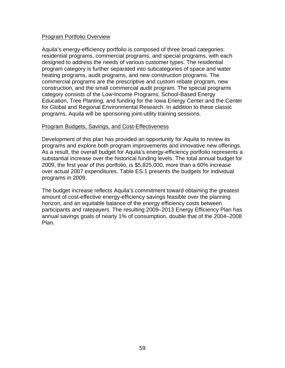#### Program Portfolio Overview

Aquila's energy-efficiency portfolio is composed of three broad categories: residential programs, commercial programs, and special programs, with each designed to address the needs of various customer types. The residential program category is further separated into subcategories of space and water heating programs, audit programs, and new construction programs. The commercial programs are the prescriptive and custom rebate program, new construction, and the small commercial audit program. The special programs category consists of the Low-Income Programs, School-Based Energy Education, Tree Planting, and funding for the Iowa Energy Center and the Center for Global and Regional Environmental Research. In addition to these classic programs, Aquila will be sponsoring joint-utility training sessions.

#### Program Budgets, Savings, and Cost-Effectiveness

Development of this plan has provided an opportunity for Aquila to review its programs and explore both program improvements and innovative new offerings. As a result, the overall budget for Aquila's energy-efficiency portfolio represents a substantial increase over the historical funding levels. The total annual budget for 2009, the first year of this portfolio, is \$5,825,000, more than a 60% increase over actual 2007 expenditures. Table ES.1 presents the budgets for individual programs in 2009.

The budget increase reflects Aquila's commitment toward obtaining the greatest amount of cost-effective energy-efficiency savings feasible over the planning horizon, and an equitable balance of the energy efficiency costs between participants and ratepayers. The resulting 2009–2013 Energy Efficiency Plan has annual savings goals of nearly 1% of consumption, double that of the 2004–2008 Plan.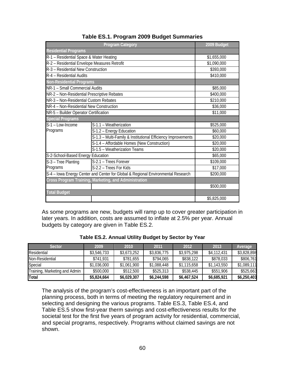|                                                                                  | 2009 Budget                                                  |             |  |
|----------------------------------------------------------------------------------|--------------------------------------------------------------|-------------|--|
| <b>Residential Programs</b>                                                      |                                                              |             |  |
| R-1 - Residential Space & Water Heating                                          | \$1,655,000                                                  |             |  |
| R-2 - Residential Envelope Measures Retrofit                                     |                                                              | \$1,090,000 |  |
| R-3 - Residential New Construction                                               |                                                              | \$393,000   |  |
| R-4 - Residential Audits                                                         |                                                              | \$410,000   |  |
| <b>Non-Residential Programs</b>                                                  |                                                              |             |  |
| NR-1 - Small Commercial Audits                                                   |                                                              | \$85,000    |  |
| NR-2 - Non-Residential Prescriptive Rebates                                      |                                                              | \$400,000   |  |
| NR-3 - Non-Residential Custom Rebates                                            |                                                              | \$210,000   |  |
| NR-4 - Non-Residential New Construction                                          | \$36,000                                                     |             |  |
| NR-5 - Builder Operator Certification                                            | \$11,000                                                     |             |  |
| <b>Special Programs</b>                                                          |                                                              |             |  |
| S-1 - Low-Income                                                                 | S-1.1 - Weatherization                                       | \$525,000   |  |
| Programs                                                                         | S-1.2 - Energy Education                                     | \$60,000    |  |
|                                                                                  | S-1.3 - Multi-Family & Institutional Efficiency Improvements | \$20,000    |  |
|                                                                                  | S-1.4 - Affordable Homes (New Construction)                  | \$20,000    |  |
|                                                                                  | S-1.5 - Weatherization Teams                                 | \$20,000    |  |
|                                                                                  | S-2-School-Based Energy Education                            |             |  |
| S-3 - Tree Planting                                                              | S-2.1 - Trees Forever                                        | \$109,000   |  |
| Programs                                                                         | S-2.2 - Trees For Kids                                       | \$17,000    |  |
| S-4 - Iowa Energy Center and Center for Global & Regional Environmental Research | \$200,000                                                    |             |  |
|                                                                                  | Cross Program Training, Marketing, and Administration        |             |  |
|                                                                                  |                                                              | \$500,000   |  |
| <b>Total Budget</b>                                                              |                                                              |             |  |
|                                                                                  |                                                              | \$5,825,000 |  |

# **Table ES.1. Program 2009 Budget Summaries**

As some programs are new, budgets will ramp up to cover greater participation in later years. In addition, costs are assumed to inflate at 2.5% per year. Annual budgets by category are given in Table ES.2.

| <b>Sector</b>                 | 2009        | 2010        | 2011        | 2012        | 2013        | <b>Average</b> |
|-------------------------------|-------------|-------------|-------------|-------------|-------------|----------------|
| Residential                   | \$3,546,733 | \$3,673,252 | \$3,836,775 | \$3,975,298 | \$4,112,431 | \$3,828,898    |
| Non-Residential               | \$741.931   | \$781,655   | \$794.065   | \$838,122   | \$878,033   | \$806,761      |
| Special                       | \$1,036,000 | \$1,061,900 | \$1,088,448 | \$1,115,658 | \$1,143,550 | \$1,089,111    |
| Training, Marketing and Admin | \$500,000   | \$512,500   | \$525,313   | \$538,445   | \$551,906   | \$525,663      |
| <b>ITotal</b>                 | \$5,824,664 | \$6,029,307 | \$6,244,598 | \$6,467,524 | \$6,685,921 | \$6,250,403    |

**Table ES.2. Annual Utility Budget by Sector by Year** 

The analysis of the program's cost-effectiveness is an important part of the planning process, both in terms of meeting the regulatory requirement and in selecting and designing the various programs. Table ES.3, Table ES.4, and Table ES.5 show first-year therm savings and cost-effectiveness results for the societal test for the first five years of program activity for residential, commercial, and special programs, respectively. Programs without claimed savings are not shown.